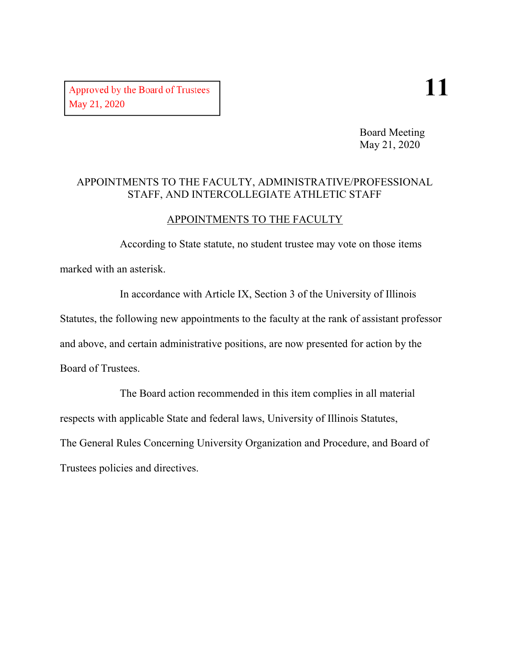Board Meeting May 21, 2020

#### APPOINTMENTS TO THE FACULTY, ADMINISTRATIVE/PROFESSIONAL STAFF, AND INTERCOLLEGIATE ATHLETIC STAFF

#### APPOINTMENTS TO THE FACULTY

According to State statute, no student trustee may vote on those items marked with an asterisk.

In accordance with Article IX, Section 3 of the University of Illinois Statutes, the following new appointments to the faculty at the rank of assistant professor and above, and certain administrative positions, are now presented for action by the Board of Trustees.

The Board action recommended in this item complies in all material respects with applicable State and federal laws, University of Illinois Statutes, The General Rules Concerning University Organization and Procedure, and Board of Trustees policies and directives.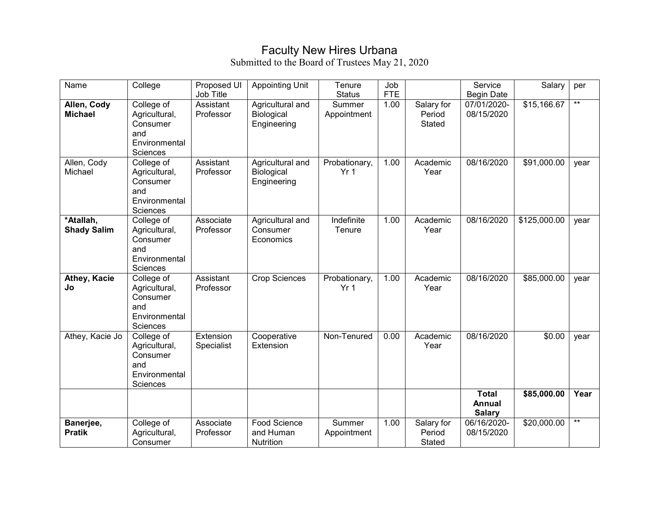## Faculty New Hires Urbana

| Name                            | College                                                                            | Proposed UI<br>Job Title | <b>Appointing Unit</b>                        | Tenure<br><b>Status</b>          | Job<br><b>FTE</b> |                                | Service<br><b>Begin Date</b>            | Salary       | per  |
|---------------------------------|------------------------------------------------------------------------------------|--------------------------|-----------------------------------------------|----------------------------------|-------------------|--------------------------------|-----------------------------------------|--------------|------|
| Allen, Cody<br><b>Michael</b>   | College of<br>Agricultural,<br>Consumer<br>and<br>Environmental<br>Sciences        | Assistant<br>Professor   | Agricultural and<br>Biological<br>Engineering | Summer<br>Appointment            | 1.00              | Salary for<br>Period<br>Stated | 07/01/2020-<br>08/15/2020               | \$15,166.67  | $*$  |
| Allen, Cody<br>Michael          | College of<br>Agricultural,<br>Consumer<br>and<br>Environmental<br><b>Sciences</b> | Assistant<br>Professor   | Agricultural and<br>Biological<br>Engineering | Probationary,<br>Yr <sub>1</sub> | 1.00              | Academic<br>Year               | 08/16/2020                              | \$91,000.00  | year |
| *Atallah,<br><b>Shady Salim</b> | College of<br>Agricultural,<br>Consumer<br>and<br>Environmental<br>Sciences        | Associate<br>Professor   | Agricultural and<br>Consumer<br>Economics     | Indefinite<br>Tenure             | 1.00              | Academic<br>Year               | 08/16/2020                              | \$125,000.00 | year |
| Athey, Kacie<br>Jo              | College of<br>Agricultural,<br>Consumer<br>and<br>Environmental<br>Sciences        | Assistant<br>Professor   | Crop Sciences                                 | Probationary,<br>Yr <sub>1</sub> | 1.00              | Academic<br>Year               | 08/16/2020                              | \$85,000.00  | year |
| Athey, Kacie Jo                 | College of<br>Agricultural,<br>Consumer<br>and<br>Environmental<br>Sciences        | Extension<br>Specialist  | Cooperative<br>Extension                      | Non-Tenured                      | 0.00              | Academic<br>Year               | 08/16/2020                              | \$0.00       | year |
|                                 |                                                                                    |                          |                                               |                                  |                   |                                | <b>Total</b><br>Annual<br><b>Salary</b> | \$85,000.00  | Year |
| Banerjee,<br><b>Pratik</b>      | College of<br>Agricultural,<br>Consumer                                            | Associate<br>Professor   | Food Science<br>and Human<br>Nutrition        | Summer<br>Appointment            | 1.00              | Salary for<br>Period<br>Stated | 06/16/2020-<br>08/15/2020               | \$20,000.00  | $**$ |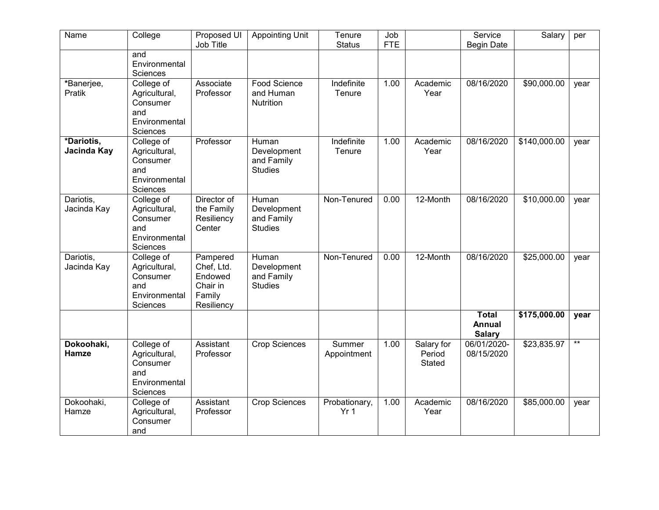| Name                      | College                                                                     | Proposed UI<br>Job Title                                              | <b>Appointing Unit</b>                               | Tenure<br><b>Status</b>          | Job<br><b>FTE</b> |                                       | Service<br><b>Begin Date</b>     | Salary       | per        |
|---------------------------|-----------------------------------------------------------------------------|-----------------------------------------------------------------------|------------------------------------------------------|----------------------------------|-------------------|---------------------------------------|----------------------------------|--------------|------------|
|                           | and<br>Environmental<br>Sciences                                            |                                                                       |                                                      |                                  |                   |                                       |                                  |              |            |
| *Banerjee,<br>Pratik      | College of<br>Agricultural,<br>Consumer<br>and<br>Environmental<br>Sciences | Associate<br>Professor                                                | Food Science<br>and Human<br>Nutrition               | Indefinite<br>Tenure             | 1.00              | Academic<br>Year                      | 08/16/2020                       | \$90,000.00  | year       |
| *Dariotis,<br>Jacinda Kay | College of<br>Agricultural,<br>Consumer<br>and<br>Environmental<br>Sciences | Professor                                                             | Human<br>Development<br>and Family<br><b>Studies</b> | Indefinite<br>Tenure             | 1.00              | Academic<br>Year                      | 08/16/2020                       | \$140,000.00 | year       |
| Dariotis,<br>Jacinda Kay  | College of<br>Agricultural,<br>Consumer<br>and<br>Environmental<br>Sciences | Director of<br>the Family<br>Resiliency<br>Center                     | Human<br>Development<br>and Family<br><b>Studies</b> | Non-Tenured                      | 0.00              | 12-Month                              | 08/16/2020                       | \$10,000.00  | year       |
| Dariotis,<br>Jacinda Kay  | College of<br>Agricultural,<br>Consumer<br>and<br>Environmental<br>Sciences | Pampered<br>Chef, Ltd.<br>Endowed<br>Chair in<br>Family<br>Resiliency | Human<br>Development<br>and Family<br><b>Studies</b> | Non-Tenured                      | 0.00              | 12-Month                              | 08/16/2020                       | \$25,000.00  | year       |
|                           |                                                                             |                                                                       |                                                      |                                  |                   |                                       | Total<br>Annual<br><b>Salary</b> | \$175,000.00 | year       |
| Dokoohaki,<br>Hamze       | College of<br>Agricultural,<br>Consumer<br>and<br>Environmental<br>Sciences | Assistant<br>Professor                                                | <b>Crop Sciences</b>                                 | Summer<br>Appointment            | 1.00              | Salary for<br>Period<br><b>Stated</b> | 06/01/2020-<br>08/15/2020        | \$23,835.97  | $\ast\ast$ |
| Dokoohaki,<br>Hamze       | College of<br>Agricultural,<br>Consumer<br>and                              | Assistant<br>Professor                                                | <b>Crop Sciences</b>                                 | Probationary,<br>Yr <sub>1</sub> | 1.00              | Academic<br>Year                      | 08/16/2020                       | \$85,000.00  | year       |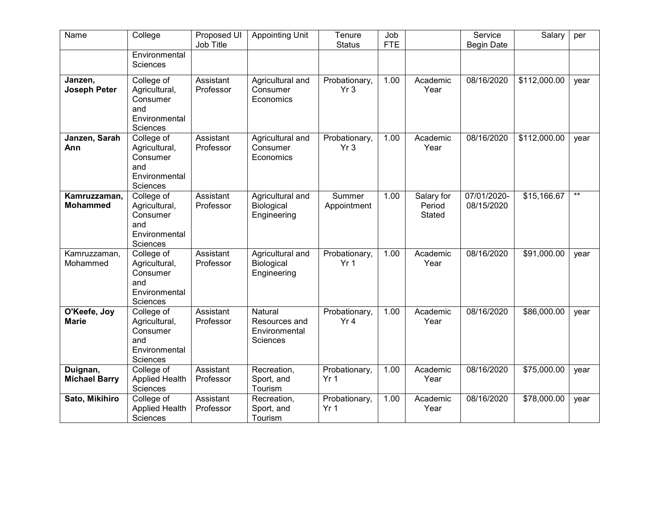| Name                             | College                                                                            | Proposed UI<br>Job Title | <b>Appointing Unit</b>                                       | Tenure<br><b>Status</b>          | Job<br><b>FTE</b> |                                | Service<br><b>Begin Date</b> | Salary       | per        |
|----------------------------------|------------------------------------------------------------------------------------|--------------------------|--------------------------------------------------------------|----------------------------------|-------------------|--------------------------------|------------------------------|--------------|------------|
|                                  | Environmental<br><b>Sciences</b>                                                   |                          |                                                              |                                  |                   |                                |                              |              |            |
| Janzen,<br><b>Joseph Peter</b>   | College of<br>Agricultural,<br>Consumer<br>and<br>Environmental<br><b>Sciences</b> | Assistant<br>Professor   | Agricultural and<br>Consumer<br>Economics                    | Probationary,<br>Yr <sub>3</sub> | 1.00              | Academic<br>Year               | 08/16/2020                   | \$112,000.00 | year       |
| Janzen, Sarah<br>Ann             | College of<br>Agricultural,<br>Consumer<br>and<br>Environmental<br>Sciences        | Assistant<br>Professor   | Agricultural and<br>Consumer<br>Economics                    | Probationary,<br>Yr <sub>3</sub> | 1.00              | Academic<br>Year               | 08/16/2020                   | \$112,000.00 | year       |
| Kamruzzaman,<br><b>Mohammed</b>  | College of<br>Agricultural,<br>Consumer<br>and<br>Environmental<br>Sciences        | Assistant<br>Professor   | Agricultural and<br>Biological<br>Engineering                | Summer<br>Appointment            | 1.00              | Salary for<br>Period<br>Stated | 07/01/2020-<br>08/15/2020    | \$15,166.67  | $\ast\ast$ |
| Kamruzzaman,<br>Mohammed         | College of<br>Agricultural,<br>Consumer<br>and<br>Environmental<br>Sciences        | Assistant<br>Professor   | Agricultural and<br>Biological<br>Engineering                | Probationary,<br>Yr <sub>1</sub> | 1.00              | Academic<br>Year               | 08/16/2020                   | \$91,000.00  | year       |
| O'Keefe, Joy<br><b>Marie</b>     | College of<br>Agricultural,<br>Consumer<br>and<br>Environmental<br>Sciences        | Assistant<br>Professor   | Natural<br>Resources and<br>Environmental<br><b>Sciences</b> | Probationary,<br>Yr <sub>4</sub> | 1.00              | Academic<br>Year               | 08/16/2020                   | \$86,000.00  | year       |
| Duignan,<br><b>Michael Barry</b> | College of<br><b>Applied Health</b><br>Sciences                                    | Assistant<br>Professor   | Recreation,<br>Sport, and<br>Tourism                         | Probationary,<br>Yr <sub>1</sub> | 1.00              | Academic<br>Year               | 08/16/2020                   | \$75,000.00  | year       |
| Sato, Mikihiro                   | College of<br><b>Applied Health</b><br>Sciences                                    | Assistant<br>Professor   | Recreation,<br>Sport, and<br>Tourism                         | Probationary,<br>Yr <sub>1</sub> | 1.00              | Academic<br>Year               | 08/16/2020                   | \$78,000.00  | year       |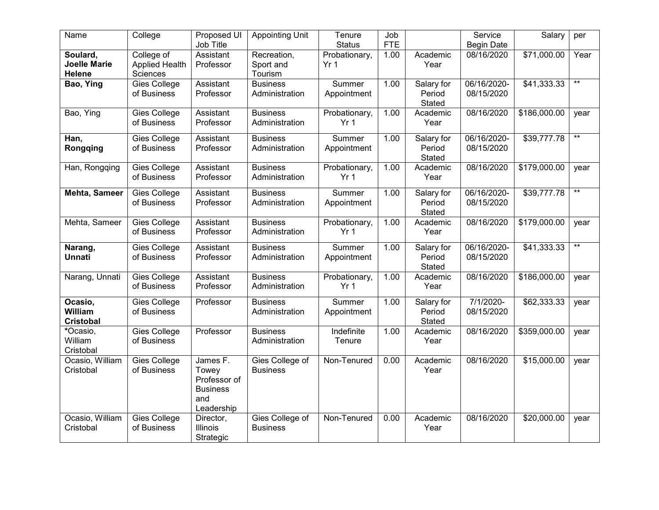| Name                                      | College                                  | Proposed UI<br>Job Title                                                  | <b>Appointing Unit</b>              | Tenure<br><b>Status</b>          | Job<br><b>FTE</b> |                                | Service<br><b>Begin Date</b> | Salary       | per             |
|-------------------------------------------|------------------------------------------|---------------------------------------------------------------------------|-------------------------------------|----------------------------------|-------------------|--------------------------------|------------------------------|--------------|-----------------|
| Soulard,<br><b>Joelle Marie</b><br>Helene | College of<br>Applied Health<br>Sciences | Assistant<br>Professor                                                    | Recreation,<br>Sport and<br>Tourism | Probationary,<br>Yr <sub>1</sub> | 1.00              | Academic<br>Year               | 08/16/2020                   | \$71,000.00  | Year            |
| Bao, Ying                                 | <b>Gies College</b><br>of Business       | Assistant<br>Professor                                                    | <b>Business</b><br>Administration   | Summer<br>Appointment            | 1.00              | Salary for<br>Period<br>Stated | 06/16/2020-<br>08/15/2020    | \$41,333.33  | $\ast\ast$      |
| Bao, Ying                                 | Gies College<br>of Business              | Assistant<br>Professor                                                    | <b>Business</b><br>Administration   | Probationary,<br>Yr <sub>1</sub> | 1.00              | Academic<br>Year               | 08/16/2020                   | \$186,000.00 | year            |
| Han,<br>Rongqing                          | <b>Gies College</b><br>of Business       | Assistant<br>Professor                                                    | <b>Business</b><br>Administration   | Summer<br>Appointment            | 1.00              | Salary for<br>Period<br>Stated | 06/16/2020-<br>08/15/2020    | \$39,777.78  | $\ast\ast$      |
| Han, Rongqing                             | Gies College<br>of Business              | Assistant<br>Professor                                                    | <b>Business</b><br>Administration   | Probationary,<br>Yr <sub>1</sub> | 1.00              | Academic<br>Year               | 08/16/2020                   | \$179,000.00 | year            |
| <b>Mehta, Sameer</b>                      | <b>Gies College</b><br>of Business       | Assistant<br>Professor                                                    | <b>Business</b><br>Administration   | Summer<br>Appointment            | 1.00              | Salary for<br>Period<br>Stated | 06/16/2020-<br>08/15/2020    | \$39,777.78  | $\ast\ast$      |
| Mehta, Sameer                             | Gies College<br>of Business              | Assistant<br>Professor                                                    | <b>Business</b><br>Administration   | Probationary,<br>Yr <sub>1</sub> | 1.00              | Academic<br>Year               | 08/16/2020                   | \$179,000.00 | year            |
| Narang,<br><b>Unnati</b>                  | Gies College<br>of Business              | Assistant<br>Professor                                                    | <b>Business</b><br>Administration   | Summer<br>Appointment            | 1.00              | Salary for<br>Period<br>Stated | 06/16/2020-<br>08/15/2020    | \$41,333.33  | $^{\star\star}$ |
| Narang, Unnati                            | Gies College<br>of Business              | Assistant<br>Professor                                                    | <b>Business</b><br>Administration   | Probationary,<br>Yr <sub>1</sub> | 1.00              | Academic<br>Year               | 08/16/2020                   | \$186,000.00 | year            |
| Ocasio,<br>William<br><b>Cristobal</b>    | Gies College<br>of Business              | Professor                                                                 | <b>Business</b><br>Administration   | Summer<br>Appointment            | 1.00              | Salary for<br>Period<br>Stated | 7/1/2020-<br>08/15/2020      | \$62,333.33  | year            |
| *Ocasio,<br>William<br>Cristobal          | Gies College<br>of Business              | Professor                                                                 | <b>Business</b><br>Administration   | Indefinite<br>Tenure             | 1.00              | Academic<br>Year               | 08/16/2020                   | \$359,000.00 | year            |
| Ocasio, William<br>Cristobal              | Gies College<br>of Business              | James F.<br>Towey<br>Professor of<br><b>Business</b><br>and<br>Leadership | Gies College of<br><b>Business</b>  | Non-Tenured                      | 0.00              | Academic<br>Year               | 08/16/2020                   | \$15,000.00  | year            |
| Ocasio, William<br>Cristobal              | Gies College<br>of Business              | Director,<br>Illinois<br>Strategic                                        | Gies College of<br><b>Business</b>  | Non-Tenured                      | 0.00              | Academic<br>Year               | 08/16/2020                   | \$20,000.00  | year            |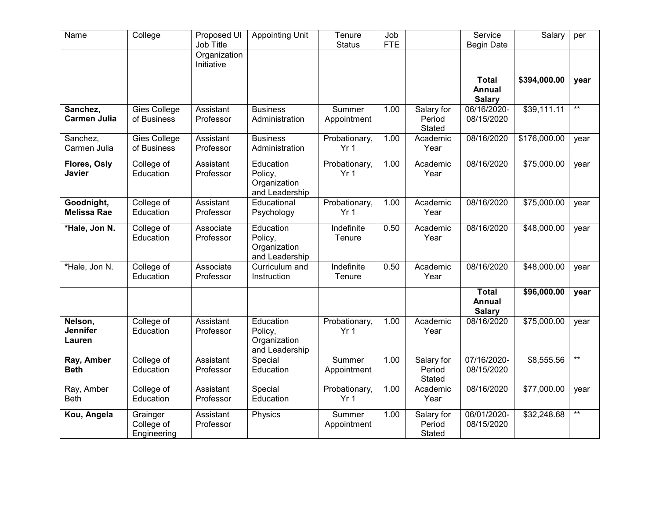| Name                                 | College                               | Proposed UI<br>Job Title   | <b>Appointing Unit</b>                                 | Tenure<br><b>Status</b>          | Job<br><b>FTE</b> |                                | Service<br><b>Begin Date</b>                   | Salary       | per             |
|--------------------------------------|---------------------------------------|----------------------------|--------------------------------------------------------|----------------------------------|-------------------|--------------------------------|------------------------------------------------|--------------|-----------------|
|                                      |                                       | Organization<br>Initiative |                                                        |                                  |                   |                                |                                                |              |                 |
|                                      |                                       |                            |                                                        |                                  |                   |                                | <b>Total</b><br><b>Annual</b><br><b>Salary</b> | \$394,000.00 | year            |
| Sanchez,<br><b>Carmen Julia</b>      | Gies College<br>of Business           | Assistant<br>Professor     | <b>Business</b><br>Administration                      | Summer<br>Appointment            | 1.00              | Salary for<br>Period<br>Stated | 06/16/2020-<br>08/15/2020                      | \$39,111.11  | $*$             |
| Sanchez,<br>Carmen Julia             | <b>Gies College</b><br>of Business    | Assistant<br>Professor     | <b>Business</b><br>Administration                      | Probationary,<br>Yr <sub>1</sub> | 1.00              | Academic<br>Year               | 08/16/2020                                     | \$176,000.00 | year            |
| Flores, Osly<br><b>Javier</b>        | College of<br>Education               | Assistant<br>Professor     | Education<br>Policy,<br>Organization<br>and Leadership | Probationary,<br>Yr <sub>1</sub> | 1.00              | Academic<br>Year               | 08/16/2020                                     | \$75,000.00  | year            |
| Goodnight,<br><b>Melissa Rae</b>     | College of<br>Education               | Assistant<br>Professor     | Educational<br>Psychology                              | Probationary,<br>Yr <sub>1</sub> | 1.00              | Academic<br>Year               | 08/16/2020                                     | \$75,000.00  | year            |
| *Hale, Jon N.                        | College of<br>Education               | Associate<br>Professor     | Education<br>Policy,<br>Organization<br>and Leadership | Indefinite<br>Tenure             | 0.50              | Academic<br>Year               | 08/16/2020                                     | \$48,000.00  | year            |
| *Hale, Jon N.                        | College of<br>Education               | Associate<br>Professor     | Curriculum and<br>Instruction                          | Indefinite<br>Tenure             | 0.50              | Academic<br>Year               | 08/16/2020                                     | \$48,000.00  | year            |
|                                      |                                       |                            |                                                        |                                  |                   |                                | <b>Total</b><br>Annual<br><b>Salary</b>        | \$96,000.00  | year            |
| Nelson,<br><b>Jennifer</b><br>Lauren | College of<br>Education               | Assistant<br>Professor     | Education<br>Policy,<br>Organization<br>and Leadership | Probationary,<br>Yr <sub>1</sub> | 1.00              | Academic<br>Year               | 08/16/2020                                     | \$75,000.00  | year            |
| Ray, Amber<br><b>Beth</b>            | College of<br>Education               | Assistant<br>Professor     | Special<br>Education                                   | Summer<br>Appointment            | 1.00              | Salary for<br>Period<br>Stated | 07/16/2020-<br>08/15/2020                      | \$8,555.56   | $^{\star\star}$ |
| Ray, Amber<br><b>Beth</b>            | College of<br>Education               | Assistant<br>Professor     | Special<br>Education                                   | Probationary,<br>Yr <sub>1</sub> | 1.00              | Academic<br>Year               | 08/16/2020                                     | \$77,000.00  | year            |
| Kou, Angela                          | Grainger<br>College of<br>Engineering | Assistant<br>Professor     | Physics                                                | Summer<br>Appointment            | 1.00              | Salary for<br>Period<br>Stated | 06/01/2020-<br>08/15/2020                      | \$32,248.68  | $^{\star\star}$ |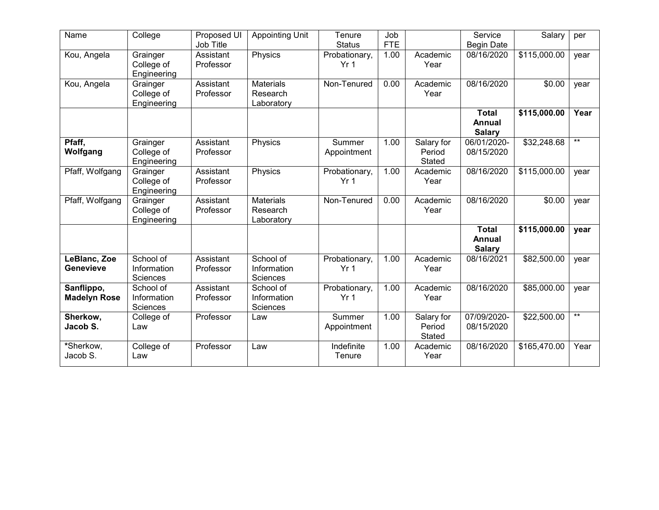| Name                              | College                               | Proposed UI<br>Job Title | <b>Appointing Unit</b>                     | Tenure<br><b>Status</b>          | Job<br><b>FTE</b> |                                       | Service<br><b>Begin Date</b>            | Salary       | per   |
|-----------------------------------|---------------------------------------|--------------------------|--------------------------------------------|----------------------------------|-------------------|---------------------------------------|-----------------------------------------|--------------|-------|
| Kou, Angela                       | Grainger<br>College of<br>Engineering | Assistant<br>Professor   | Physics                                    | Probationary,<br>Yr <sub>1</sub> | 1.00              | Academic<br>Year                      | 08/16/2020                              | \$115,000.00 | year  |
| Kou, Angela                       | Grainger<br>College of<br>Engineering | Assistant<br>Professor   | <b>Materials</b><br>Research<br>Laboratory | Non-Tenured                      | 0.00              | Academic<br>Year                      | 08/16/2020                              | \$0.00       | year  |
|                                   |                                       |                          |                                            |                                  |                   |                                       | <b>Total</b><br>Annual<br><b>Salary</b> | \$115,000.00 | Year  |
| Pfaff,<br>Wolfgang                | Grainger<br>College of<br>Engineering | Assistant<br>Professor   | Physics                                    | Summer<br>Appointment            | 1.00              | Salary for<br>Period<br><b>Stated</b> | 06/01/2020-<br>08/15/2020               | \$32,248.68  | $***$ |
| Pfaff, Wolfgang                   | Grainger<br>College of<br>Engineering | Assistant<br>Professor   | Physics                                    | Probationary,<br>Yr <sub>1</sub> | 1.00              | Academic<br>Year                      | 08/16/2020                              | \$115,000.00 | year  |
| Pfaff, Wolfgang                   | Grainger<br>College of<br>Engineering | Assistant<br>Professor   | <b>Materials</b><br>Research<br>Laboratory | Non-Tenured                      | 0.00              | Academic<br>Year                      | 08/16/2020                              | \$0.00       | year  |
|                                   |                                       |                          |                                            |                                  |                   |                                       | <b>Total</b><br>Annual<br><b>Salary</b> | \$115,000.00 | year  |
| LeBlanc, Zoe<br>Genevieve         | School of<br>Information<br>Sciences  | Assistant<br>Professor   | School of<br>Information<br>Sciences       | Probationary,<br>Yr <sub>1</sub> | 1.00              | Academic<br>Year                      | 08/16/2021                              | \$82,500.00  | year  |
| Sanflippo,<br><b>Madelyn Rose</b> | School of<br>Information<br>Sciences  | Assistant<br>Professor   | School of<br>Information<br>Sciences       | Probationary,<br>Yr <sub>1</sub> | 1.00              | Academic<br>Year                      | 08/16/2020                              | \$85,000.00  | year  |
| Sherkow,<br>Jacob S.              | College of<br>Law                     | Professor                | Law                                        | Summer<br>Appointment            | 1.00              | Salary for<br>Period<br><b>Stated</b> | 07/09/2020-<br>08/15/2020               | \$22,500.00  | $***$ |
| *Sherkow,<br>Jacob S.             | College of<br>Law                     | Professor                | Law                                        | Indefinite<br>Tenure             | 1.00              | Academic<br>Year                      | 08/16/2020                              | \$165,470.00 | Year  |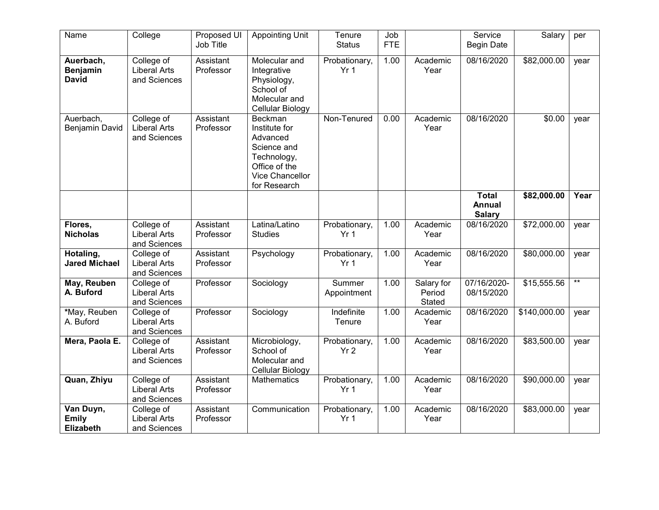| Name                                          | College                                           | Proposed UI<br>Job Title | <b>Appointing Unit</b>                                                                                                 | Tenure<br><b>Status</b>          | Job<br><b>FTE</b> |                                | Service<br><b>Begin Date</b>                   | Salary       | per  |
|-----------------------------------------------|---------------------------------------------------|--------------------------|------------------------------------------------------------------------------------------------------------------------|----------------------------------|-------------------|--------------------------------|------------------------------------------------|--------------|------|
| Auerbach,<br><b>Benjamin</b><br><b>David</b>  | College of<br><b>Liberal Arts</b><br>and Sciences | Assistant<br>Professor   | Molecular and<br>Integrative<br>Physiology,<br>School of<br>Molecular and<br>Cellular Biology                          | Probationary,<br>Yr <sub>1</sub> | 1.00              | Academic<br>Year               | 08/16/2020                                     | \$82,000.00  | year |
| Auerbach,<br>Benjamin David                   | College of<br><b>Liberal Arts</b><br>and Sciences | Assistant<br>Professor   | Beckman<br>Institute for<br>Advanced<br>Science and<br>Technology,<br>Office of the<br>Vice Chancellor<br>for Research | Non-Tenured                      | 0.00              | Academic<br>Year               | 08/16/2020                                     | \$0.00       | year |
|                                               |                                                   |                          |                                                                                                                        |                                  |                   |                                | <b>Total</b><br><b>Annual</b><br><b>Salary</b> | \$82,000.00  | Year |
| Flores,<br><b>Nicholas</b>                    | College of<br><b>Liberal Arts</b><br>and Sciences | Assistant<br>Professor   | Latina/Latino<br><b>Studies</b>                                                                                        | Probationary,<br>Yr <sub>1</sub> | 1.00              | Academic<br>Year               | 08/16/2020                                     | \$72,000.00  | year |
| Hotaling,<br><b>Jared Michael</b>             | College of<br><b>Liberal Arts</b><br>and Sciences | Assistant<br>Professor   | Psychology                                                                                                             | Probationary,<br>Yr <sub>1</sub> | 1.00              | Academic<br>Year               | 08/16/2020                                     | \$80,000.00  | year |
| May, Reuben<br>A. Buford                      | College of<br><b>Liberal Arts</b><br>and Sciences | Professor                | Sociology                                                                                                              | Summer<br>Appointment            | 1.00              | Salary for<br>Period<br>Stated | 07/16/2020-<br>08/15/2020                      | \$15,555.56  | $**$ |
| *May, Reuben<br>A. Buford                     | College of<br><b>Liberal Arts</b><br>and Sciences | Professor                | Sociology                                                                                                              | Indefinite<br>Tenure             | 1.00              | Academic<br>Year               | 08/16/2020                                     | \$140,000.00 | year |
| Mera, Paola E.                                | College of<br><b>Liberal Arts</b><br>and Sciences | Assistant<br>Professor   | Microbiology,<br>School of<br>Molecular and<br>Cellular Biology                                                        | Probationary,<br>Yr <sub>2</sub> | 1.00              | Academic<br>Year               | 08/16/2020                                     | \$83,500.00  | year |
| Quan, Zhiyu                                   | College of<br><b>Liberal Arts</b><br>and Sciences | Assistant<br>Professor   | <b>Mathematics</b>                                                                                                     | Probationary,<br>Yr <sub>1</sub> | 1.00              | Academic<br>Year               | 08/16/2020                                     | \$90,000.00  | year |
| Van Duyn,<br><b>Emily</b><br><b>Elizabeth</b> | College of<br><b>Liberal Arts</b><br>and Sciences | Assistant<br>Professor   | Communication                                                                                                          | Probationary,<br>Yr <sub>1</sub> | 1.00              | Academic<br>Year               | 08/16/2020                                     | \$83,000.00  | year |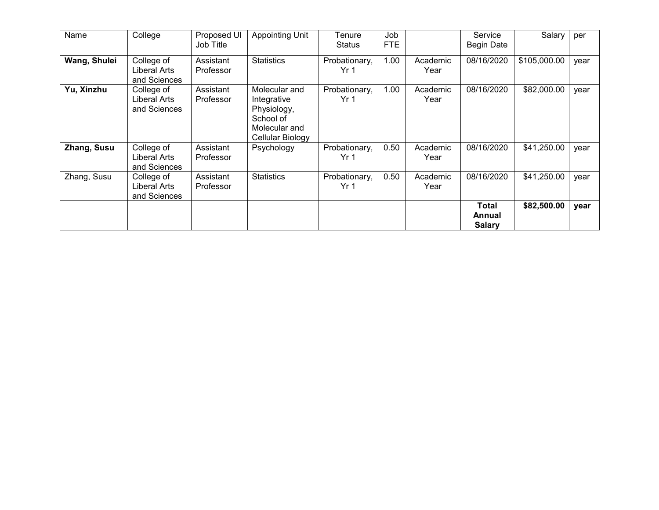| Name         | College                                    | Proposed UI<br>Job Title | Appointing Unit                                                                               | Tenure<br><b>Status</b>          | Job<br><b>FTE</b> |                  | Service<br><b>Begin Date</b>     | Salary       | per  |
|--------------|--------------------------------------------|--------------------------|-----------------------------------------------------------------------------------------------|----------------------------------|-------------------|------------------|----------------------------------|--------------|------|
| Wang, Shulei | College of<br>Liberal Arts<br>and Sciences | Assistant<br>Professor   | <b>Statistics</b>                                                                             | Probationary,<br>Yr <sub>1</sub> | 1.00              | Academic<br>Year | 08/16/2020                       | \$105,000.00 | year |
| Yu, Xinzhu   | College of<br>Liberal Arts<br>and Sciences | Assistant<br>Professor   | Molecular and<br>Integrative<br>Physiology,<br>School of<br>Molecular and<br>Cellular Biology | Probationary,<br>Yr 1            | 1.00              | Academic<br>Year | 08/16/2020                       | \$82,000.00  | year |
| Zhang, Susu  | College of<br>Liberal Arts<br>and Sciences | Assistant<br>Professor   | Psychology                                                                                    | Probationary,<br>Yr <sub>1</sub> | 0.50              | Academic<br>Year | 08/16/2020                       | \$41,250.00  | year |
| Zhang, Susu  | College of<br>Liberal Arts<br>and Sciences | Assistant<br>Professor   | <b>Statistics</b>                                                                             | Probationary,<br>Yr <sub>1</sub> | 0.50              | Academic<br>Year | 08/16/2020                       | \$41,250.00  | year |
|              |                                            |                          |                                                                                               |                                  |                   |                  | Total<br>Annual<br><b>Salary</b> | \$82,500.00  | year |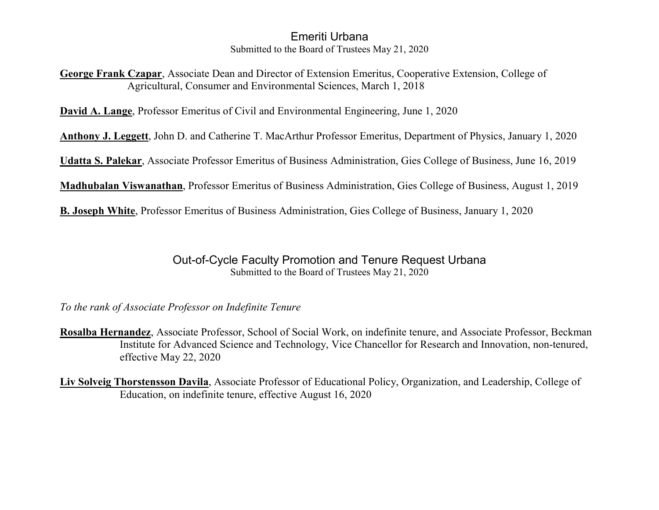#### Emeriti Urbana Submitted to the Board of Trustees May 21, 2020

**George Frank Czapar**, Associate Dean and Director of Extension Emeritus, Cooperative Extension, College of Agricultural, Consumer and Environmental Sciences, March 1, 2018

**David A. Lange**, Professor Emeritus of Civil and Environmental Engineering, June 1, 2020

**Anthony J. Leggett**, John D. and Catherine T. MacArthur Professor Emeritus, Department of Physics, January 1, 2020

**Udatta S. Palekar**, Associate Professor Emeritus of Business Administration, Gies College of Business, June 16, 2019

**Madhubalan Viswanathan**, Professor Emeritus of Business Administration, Gies College of Business, August 1, 2019

**B. Joseph White**, Professor Emeritus of Business Administration, Gies College of Business, January 1, 2020

#### Out-of-Cycle Faculty Promotion and Tenure Request Urbana Submitted to the Board of Trustees May 21, 2020

*To the rank of Associate Professor on Indefinite Tenure*

**Rosalba Hernandez**, Associate Professor, School of Social Work, on indefinite tenure, and Associate Professor, Beckman Institute for Advanced Science and Technology, Vice Chancellor for Research and Innovation, non-tenured, effective May 22, 2020

**Liv Solveig Thorstensson Davila**, Associate Professor of Educational Policy, Organization, and Leadership, College of Education, on indefinite tenure, effective August 16, 2020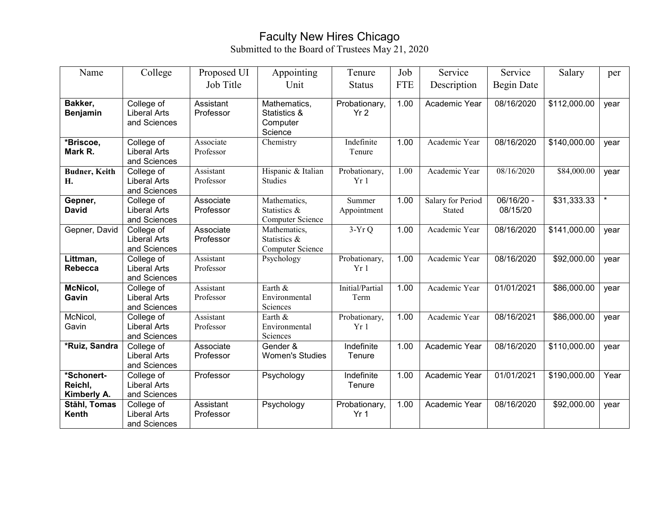#### Faculty New Hires Chicago Submitted to the Board of Trustees May 21, 2020

| Name                                 | College                                           | Proposed UI            | Appointing                                          | Tenure                           | Job        | Service                            | Service                | Salary       | per     |
|--------------------------------------|---------------------------------------------------|------------------------|-----------------------------------------------------|----------------------------------|------------|------------------------------------|------------------------|--------------|---------|
|                                      |                                                   | Job Title              | Unit                                                | <b>Status</b>                    | <b>FTE</b> | Description                        | Begin Date             |              |         |
| Bakker,<br><b>Benjamin</b>           | College of<br><b>Liberal Arts</b><br>and Sciences | Assistant<br>Professor | Mathematics,<br>Statistics &<br>Computer<br>Science | Probationary,<br>Yr <sub>2</sub> | 1.00       | Academic Year                      | 08/16/2020             | \$112,000.00 | year    |
| *Briscoe,<br>Mark R.                 | College of<br><b>Liberal Arts</b><br>and Sciences | Associate<br>Professor | Chemistry                                           | Indefinite<br>Tenure             | 1.00       | Academic Year                      | 08/16/2020             | \$140,000.00 | year    |
| <b>Budner, Keith</b><br>Η.           | College of<br><b>Liberal Arts</b><br>and Sciences | Assistant<br>Professor | Hispanic & Italian<br><b>Studies</b>                | Probationary,<br>Yr1             | 1.00       | Academic Year                      | 08/16/2020             | \$84,000.00  | year    |
| Gepner,<br><b>David</b>              | College of<br><b>Liberal Arts</b><br>and Sciences | Associate<br>Professor | Mathematics,<br>Statistics &<br>Computer Science    | Summer<br>Appointment            | 1.00       | Salary for Period<br><b>Stated</b> | 06/16/20 -<br>08/15/20 | \$31,333.33  | $\star$ |
| Gepner, David                        | College of<br><b>Liberal Arts</b><br>and Sciences | Associate<br>Professor | Mathematics,<br>Statistics &<br>Computer Science    | $3-YrQ$                          | 1.00       | Academic Year                      | 08/16/2020             | \$141,000.00 | year    |
| Littman,<br><b>Rebecca</b>           | College of<br><b>Liberal Arts</b><br>and Sciences | Assistant<br>Professor | Psychology                                          | Probationary,<br>Yr1             | 1.00       | Academic Year                      | 08/16/2020             | \$92,000.00  | vear    |
| <b>McNicol,</b><br>Gavin             | College of<br><b>Liberal Arts</b><br>and Sciences | Assistant<br>Professor | Earth &<br>Environmental<br>Sciences                | Initial/Partial<br>Term          | 1.00       | Academic Year                      | 01/01/2021             | \$86,000.00  | year    |
| McNicol,<br>Gavin                    | College of<br><b>Liberal Arts</b><br>and Sciences | Assistant<br>Professor | Earth &<br>Environmental<br>Sciences                | Probationary,<br>Yr1             | 1.00       | Academic Year                      | 08/16/2021             | \$86,000.00  | vear    |
| *Ruiz, Sandra                        | College of<br><b>Liberal Arts</b><br>and Sciences | Associate<br>Professor | Gender &<br><b>Women's Studies</b>                  | Indefinite<br>Tenure             | 1.00       | Academic Year                      | 08/16/2020             | \$110,000.00 | year    |
| *Schonert-<br>Reichl,<br>Kimberly A. | College of<br><b>Liberal Arts</b><br>and Sciences | Professor              | Psychology                                          | Indefinite<br>Tenure             | 1.00       | Academic Year                      | 01/01/2021             | \$190,000.00 | Year    |
| Stăhl, Tomas<br>Kenth                | College of<br><b>Liberal Arts</b><br>and Sciences | Assistant<br>Professor | Psychology                                          | Probationary,<br>Yr <sub>1</sub> | 1.00       | Academic Year                      | 08/16/2020             | \$92,000.00  | vear    |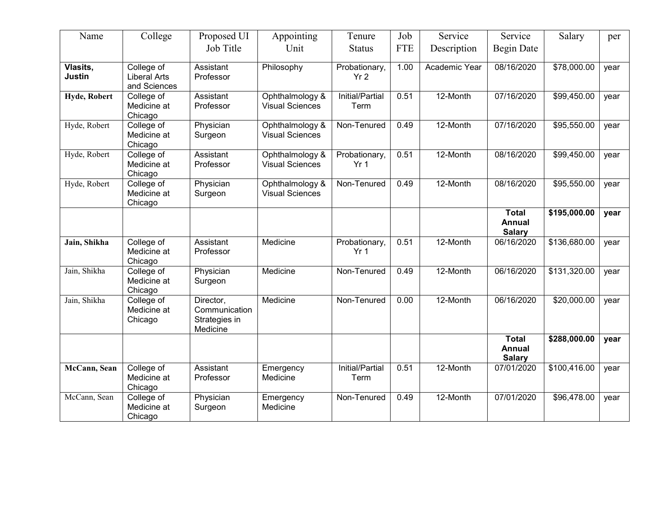| Name                      | College                                           | Proposed UI                                             | Appointing                                | Tenure                           | Job        | Service       | Service                                        | Salary       | per  |
|---------------------------|---------------------------------------------------|---------------------------------------------------------|-------------------------------------------|----------------------------------|------------|---------------|------------------------------------------------|--------------|------|
|                           |                                                   | Job Title                                               | Unit                                      | <b>Status</b>                    | <b>FTE</b> | Description   | <b>Begin Date</b>                              |              |      |
| Vlasits,<br><b>Justin</b> | College of<br><b>Liberal Arts</b><br>and Sciences | Assistant<br>Professor                                  | Philosophy                                | Probationary,<br>Yr <sub>2</sub> | 1.00       | Academic Year | 08/16/2020                                     | \$78,000.00  | year |
| Hyde, Robert              | College of<br>Medicine at<br>Chicago              | Assistant<br>Professor                                  | Ophthalmology &<br><b>Visual Sciences</b> | Initial/Partial<br>Term          | 0.51       | 12-Month      | 07/16/2020                                     | \$99,450.00  | year |
| Hyde, Robert              | College of<br>Medicine at<br>Chicago              | Physician<br>Surgeon                                    | Ophthalmology &<br><b>Visual Sciences</b> | Non-Tenured                      | 0.49       | 12-Month      | 07/16/2020                                     | \$95,550.00  | year |
| Hyde, Robert              | College of<br>Medicine at<br>Chicago              | Assistant<br>Professor                                  | Ophthalmology &<br><b>Visual Sciences</b> | Probationary,<br>Yr <sub>1</sub> | 0.51       | 12-Month      | 08/16/2020                                     | \$99,450.00  | year |
| Hyde, Robert              | College of<br>Medicine at<br>Chicago              | Physician<br>Surgeon                                    | Ophthalmology &<br><b>Visual Sciences</b> | Non-Tenured                      | 0.49       | 12-Month      | 08/16/2020                                     | \$95,550.00  | year |
|                           |                                                   |                                                         |                                           |                                  |            |               | <b>Total</b><br>Annual<br><b>Salary</b>        | \$195,000.00 | year |
| Jain, Shikha              | College of<br>Medicine at<br>Chicago              | Assistant<br>Professor                                  | Medicine                                  | Probationary,<br>Yr <sub>1</sub> | 0.51       | 12-Month      | 06/16/2020                                     | \$136,680.00 | year |
| Jain, Shikha              | College of<br>Medicine at<br>Chicago              | Physician<br>Surgeon                                    | Medicine                                  | Non-Tenured                      | 0.49       | 12-Month      | 06/16/2020                                     | \$131,320.00 | year |
| Jain, Shikha              | College of<br>Medicine at<br>Chicago              | Director,<br>Communication<br>Strategies in<br>Medicine | Medicine                                  | Non-Tenured                      | 0.00       | 12-Month      | 06/16/2020                                     | \$20,000.00  | year |
|                           |                                                   |                                                         |                                           |                                  |            |               | <b>Total</b><br><b>Annual</b><br><b>Salary</b> | \$288,000.00 | year |
| McCann, Sean              | College of<br>Medicine at<br>Chicago              | Assistant<br>Professor                                  | Emergency<br>Medicine                     | Initial/Partial<br>Term          | 0.51       | 12-Month      | 07/01/2020                                     | \$100,416.00 | year |
| McCann, Sean              | College of<br>Medicine at<br>Chicago              | Physician<br>Surgeon                                    | Emergency<br>Medicine                     | Non-Tenured                      | 0.49       | 12-Month      | 07/01/2020                                     | \$96,478.00  | year |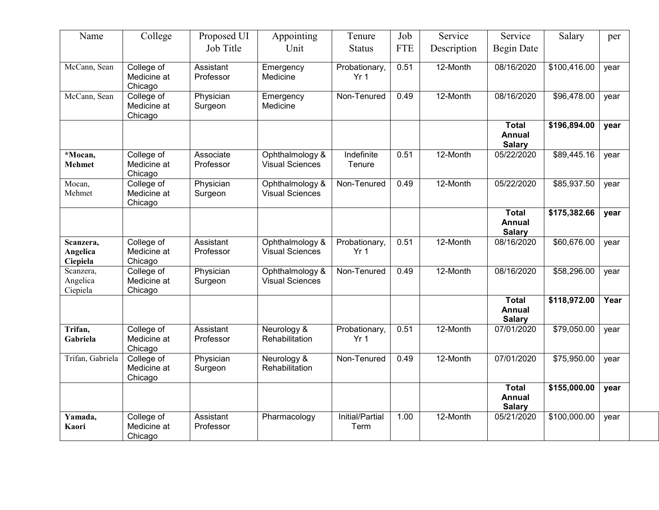| Name                              | College                              | Proposed UI            | Appointing                                | Tenure                           | Job        | Service     | Service                                        | Salary                   | per  |
|-----------------------------------|--------------------------------------|------------------------|-------------------------------------------|----------------------------------|------------|-------------|------------------------------------------------|--------------------------|------|
|                                   |                                      | Job Title              | Unit                                      | <b>Status</b>                    | <b>FTE</b> | Description | <b>Begin Date</b>                              |                          |      |
| McCann, Sean                      | College of<br>Medicine at<br>Chicago | Assistant<br>Professor | Emergency<br>Medicine                     | Probationary,<br>Yr <sub>1</sub> | 0.51       | 12-Month    | 08/16/2020                                     | \$100,416.00             | year |
| McCann, Sean                      | College of<br>Medicine at<br>Chicago | Physician<br>Surgeon   | Emergency<br>Medicine                     | Non-Tenured                      | 0.49       | 12-Month    | 08/16/2020                                     | \$96,478.00              | year |
|                                   |                                      |                        |                                           |                                  |            |             | <b>Total</b><br><b>Annual</b><br><b>Salary</b> | \$196,894.00             | year |
| *Mocan,<br><b>Mehmet</b>          | College of<br>Medicine at<br>Chicago | Associate<br>Professor | Ophthalmology &<br><b>Visual Sciences</b> | Indefinite<br>Tenure             | 0.51       | 12-Month    | 05/22/2020                                     | \$89,445.16              | year |
| Mocan,<br>Mehmet                  | College of<br>Medicine at<br>Chicago | Physician<br>Surgeon   | Ophthalmology &<br><b>Visual Sciences</b> | Non-Tenured                      | 0.49       | 12-Month    | 05/22/2020                                     | \$85,937.50              | year |
|                                   |                                      |                        |                                           |                                  |            |             | <b>Total</b><br><b>Annual</b><br><b>Salary</b> | \$175,382.66             | year |
| Scanzera,<br>Angelica<br>Ciepiela | College of<br>Medicine at<br>Chicago | Assistant<br>Professor | Ophthalmology &<br><b>Visual Sciences</b> | Probationary,<br>Yr <sub>1</sub> | 0.51       | 12-Month    | 08/16/2020                                     | \$60,676.00              | year |
| Scanzera,<br>Angelica<br>Ciepiela | College of<br>Medicine at<br>Chicago | Physician<br>Surgeon   | Ophthalmology &<br><b>Visual Sciences</b> | Non-Tenured                      | 0.49       | 12-Month    | 08/16/2020                                     | \$58,296.00              | year |
|                                   |                                      |                        |                                           |                                  |            |             | <b>Total</b><br><b>Annual</b><br><b>Salary</b> | $\overline{$}118,972.00$ | Year |
| Trifan,<br>Gabriela               | College of<br>Medicine at<br>Chicago | Assistant<br>Professor | Neurology &<br>Rehabilitation             | Probationary,<br>Yr <sub>1</sub> | 0.51       | 12-Month    | 07/01/2020                                     | \$79,050.00              | year |
| Trifan, Gabriela                  | College of<br>Medicine at<br>Chicago | Physician<br>Surgeon   | Neurology &<br>Rehabilitation             | Non-Tenured                      | 0.49       | 12-Month    | 07/01/2020                                     | \$75,950.00              | year |
|                                   |                                      |                        |                                           |                                  |            |             | <b>Total</b><br><b>Annual</b><br><b>Salary</b> | \$155,000.00             | year |
| Yamada,<br>Kaori                  | College of<br>Medicine at<br>Chicago | Assistant<br>Professor | Pharmacology                              | Initial/Partial<br>Term          | 1.00       | 12-Month    | 05/21/2020                                     | \$100,000.00             | year |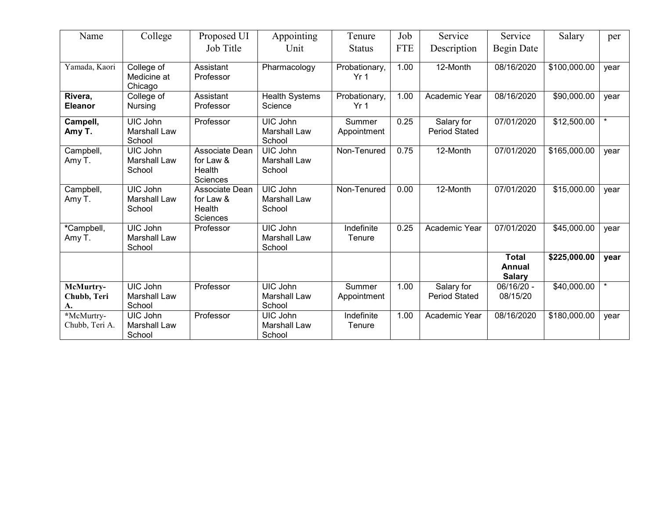| Name                           | College                                          | Proposed UI                                              | Appointing                                       | Tenure                           | Job        | Service                            | Service                                        | Salary       | per     |
|--------------------------------|--------------------------------------------------|----------------------------------------------------------|--------------------------------------------------|----------------------------------|------------|------------------------------------|------------------------------------------------|--------------|---------|
|                                |                                                  | Job Title                                                | Unit                                             | <b>Status</b>                    | <b>FTE</b> | Description                        | Begin Date                                     |              |         |
| Yamada, Kaori                  | College of<br>Medicine at<br>Chicago             | Assistant<br>Professor                                   | Pharmacology                                     | Probationary,<br>Yr <sub>1</sub> | 1.00       | 12-Month                           | 08/16/2020                                     | \$100,000.00 | year    |
| Rivera,<br><b>Eleanor</b>      | College of<br><b>Nursing</b>                     | Assistant<br>Professor                                   | <b>Health Systems</b><br>Science                 | Probationary,<br>Yr <sub>1</sub> | 1.00       | Academic Year                      | 08/16/2020                                     | \$90,000.00  | year    |
| Campell,<br>Amy T.             | UIC John<br><b>Marshall Law</b><br>School        | Professor                                                | UIC John<br><b>Marshall Law</b><br>School        | Summer<br>Appointment            | 0.25       | Salary for<br><b>Period Stated</b> | 07/01/2020                                     | \$12,500.00  |         |
| Campbell,<br>Amy T.            | UIC John<br><b>Marshall Law</b><br>School        | Associate Dean<br>for Law &<br>Health<br><b>Sciences</b> | UIC John<br><b>Marshall Law</b><br>School        | Non-Tenured                      | 0.75       | 12-Month                           | 07/01/2020                                     | \$165,000.00 | vear    |
| Campbell,<br>Amy T.            | <b>UIC John</b><br><b>Marshall Law</b><br>School | Associate Dean<br>for Law &<br>Health<br><b>Sciences</b> | <b>UIC John</b><br><b>Marshall Law</b><br>School | Non-Tenured                      | 0.00       | 12-Month                           | 07/01/2020                                     | \$15,000.00  | year    |
| *Campbell,<br>Amy T.           | <b>UIC John</b><br><b>Marshall Law</b><br>School | Professor                                                | <b>UIC John</b><br><b>Marshall Law</b><br>School | Indefinite<br>Tenure             | 0.25       | Academic Year                      | 07/01/2020                                     | \$45,000.00  | year    |
|                                |                                                  |                                                          |                                                  |                                  |            |                                    | <b>Total</b><br><b>Annual</b><br><b>Salary</b> | \$225,000.00 | year    |
| McMurtry-<br>Chubb, Teri<br>A. | UIC John<br><b>Marshall Law</b><br>School        | Professor                                                | <b>UIC John</b><br><b>Marshall Law</b><br>School | Summer<br>Appointment            | 1.00       | Salary for<br><b>Period Stated</b> | 06/16/20 -<br>08/15/20                         | \$40,000.00  | $\star$ |
| *McMurtry-<br>Chubb, Teri A.   | UIC John<br><b>Marshall Law</b><br>School        | Professor                                                | UIC John<br><b>Marshall Law</b><br>School        | Indefinite<br>Tenure             | 1.00       | Academic Year                      | 08/16/2020                                     | \$180,000.00 | year    |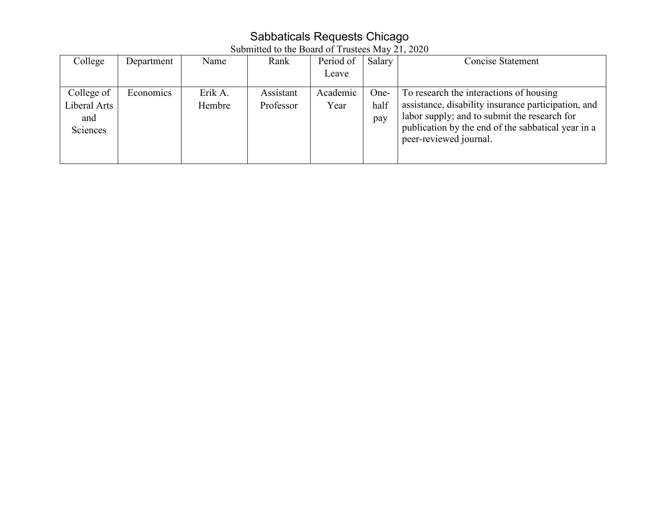# Sabbaticals Requests Chicago

| Submitted to the Board of Trustees May 21, 2020 |  |  |  |
|-------------------------------------------------|--|--|--|
|-------------------------------------------------|--|--|--|

| College                                       | Department | Name              | Rank                   | Period of        | Salary              | Concise Statement                                                                                                                                                                                                              |
|-----------------------------------------------|------------|-------------------|------------------------|------------------|---------------------|--------------------------------------------------------------------------------------------------------------------------------------------------------------------------------------------------------------------------------|
|                                               |            |                   |                        | Leave            |                     |                                                                                                                                                                                                                                |
| College of<br>Liberal Arts<br>and<br>Sciences | Economics  | Erik A.<br>Hembre | Assistant<br>Professor | Academic<br>Year | One-<br>half<br>pay | To research the interactions of housing<br>assistance, disability insurance participation, and<br>labor supply; and to submit the research for<br>publication by the end of the sabbatical year in a<br>peer-reviewed journal. |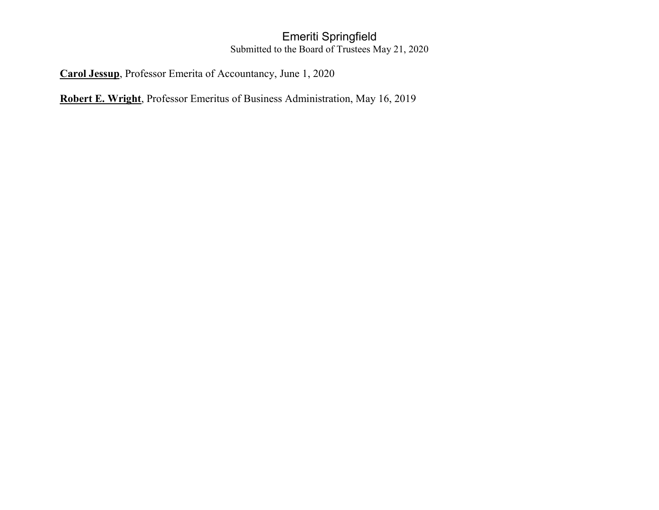## Emeriti Springfield Submitted to the Board of Trustees May 21, 2020

**Carol Jessup**, Professor Emerita of Accountancy, June 1, 2020

**Robert E. Wright**, Professor Emeritus of Business Administration, May 16, 2019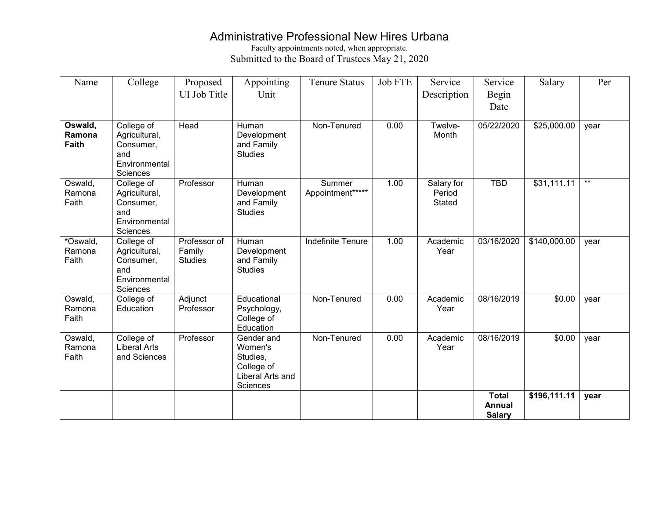## Administrative Professional New Hires Urbana

Faculty appointments noted, when appropriate. Submitted to the Board of Trustees May 21, 2020

| Name                        | College                                                                      | Proposed<br>UI Job Title                 | Appointing<br>Unit                                                              | <b>Tenure Status</b>       | <b>Job FTE</b> | Service<br>Description         | Service<br>Begin<br>Date                       | Salary       | Per   |
|-----------------------------|------------------------------------------------------------------------------|------------------------------------------|---------------------------------------------------------------------------------|----------------------------|----------------|--------------------------------|------------------------------------------------|--------------|-------|
| Oswald,<br>Ramona<br>Faith  | College of<br>Agricultural,<br>Consumer,<br>and<br>Environmental<br>Sciences | Head                                     | Human<br>Development<br>and Family<br><b>Studies</b>                            | Non-Tenured                | 0.00           | Twelve-<br>Month               | 05/22/2020                                     | \$25,000.00  | year  |
| Oswald,<br>Ramona<br>Faith  | College of<br>Agricultural,<br>Consumer,<br>and<br>Environmental<br>Sciences | Professor                                | Human<br>Development<br>and Family<br><b>Studies</b>                            | Summer<br>Appointment***** | 1.00           | Salary for<br>Period<br>Stated | <b>TBD</b>                                     | \$31,111.11  | $***$ |
| *Oswald,<br>Ramona<br>Faith | College of<br>Agricultural,<br>Consumer,<br>and<br>Environmental<br>Sciences | Professor of<br>Family<br><b>Studies</b> | Human<br>Development<br>and Family<br><b>Studies</b>                            | <b>Indefinite Tenure</b>   | 1.00           | Academic<br>Year               | 03/16/2020                                     | \$140,000.00 | year  |
| Oswald,<br>Ramona<br>Faith  | College of<br>Education                                                      | Adjunct<br>Professor                     | Educational<br>Psychology,<br>College of<br>Education                           | Non-Tenured                | 0.00           | Academic<br>Year               | 08/16/2019                                     | \$0.00       | year  |
| Oswald,<br>Ramona<br>Faith  | College of<br><b>Liberal Arts</b><br>and Sciences                            | Professor                                | Gender and<br>Women's<br>Studies,<br>College of<br>Liberal Arts and<br>Sciences | Non-Tenured                | 0.00           | Academic<br>Year               | 08/16/2019                                     | \$0.00       | year  |
|                             |                                                                              |                                          |                                                                                 |                            |                |                                | <b>Total</b><br><b>Annual</b><br><b>Salary</b> | \$196,111.11 | year  |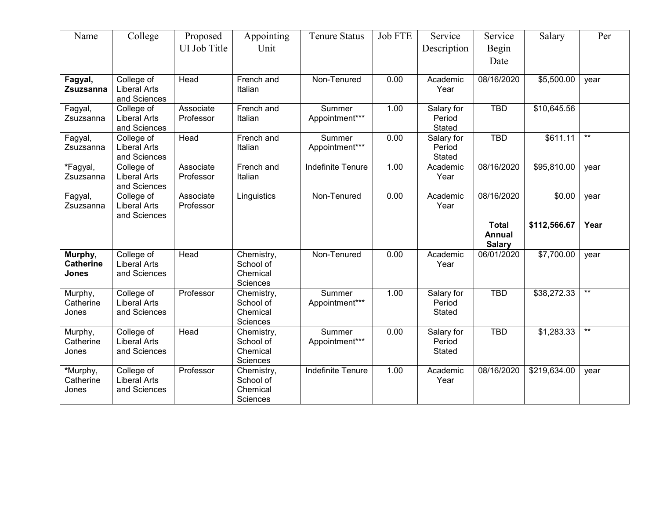| Name                                        | College                                           | Proposed<br>UI Job Title | Appointing<br>Unit                              | <b>Tenure Status</b>     | <b>Job FTE</b> | Service<br>Description                | Service<br>Begin<br>Date                       | Salary       | Per             |
|---------------------------------------------|---------------------------------------------------|--------------------------|-------------------------------------------------|--------------------------|----------------|---------------------------------------|------------------------------------------------|--------------|-----------------|
| Fagyal,<br>Zsuzsanna                        | College of<br><b>Liberal Arts</b><br>and Sciences | Head                     | French and<br>Italian                           | Non-Tenured              | 0.00           | Academic<br>Year                      | 08/16/2020                                     | \$5,500.00   | year            |
| Fagyal,<br>Zsuzsanna                        | College of<br><b>Liberal Arts</b><br>and Sciences | Associate<br>Professor   | French and<br>Italian                           | Summer<br>Appointment*** | 1.00           | Salary for<br>Period<br>Stated        | <b>TBD</b>                                     | \$10,645.56  |                 |
| Fagyal,<br>Zsuzsanna                        | College of<br><b>Liberal Arts</b><br>and Sciences | Head                     | French and<br>Italian                           | Summer<br>Appointment*** | 0.00           | Salary for<br>Period<br>Stated        | <b>TBD</b>                                     | \$611.11     | $***$           |
| *Fagyal,<br>Zsuzsanna                       | College of<br><b>Liberal Arts</b><br>and Sciences | Associate<br>Professor   | French and<br>Italian                           | Indefinite Tenure        | 1.00           | Academic<br>Year                      | 08/16/2020                                     | \$95,810.00  | year            |
| Fagyal,<br>Zsuzsanna                        | College of<br><b>Liberal Arts</b><br>and Sciences | Associate<br>Professor   | Linguistics                                     | Non-Tenured              | 0.00           | Academic<br>Year                      | 08/16/2020                                     | \$0.00       | year            |
|                                             |                                                   |                          |                                                 |                          |                |                                       | <b>Total</b><br><b>Annual</b><br><b>Salary</b> | \$112,566.67 | Year            |
| Murphy,<br><b>Catherine</b><br><b>Jones</b> | College of<br><b>Liberal Arts</b><br>and Sciences | Head                     | Chemistry,<br>School of<br>Chemical<br>Sciences | Non-Tenured              | 0.00           | Academic<br>Year                      | 06/01/2020                                     | \$7,700.00   | year            |
| Murphy,<br>Catherine<br>Jones               | College of<br><b>Liberal Arts</b><br>and Sciences | Professor                | Chemistry,<br>School of<br>Chemical<br>Sciences | Summer<br>Appointment*** | 1.00           | Salary for<br>Period<br><b>Stated</b> | <b>TBD</b>                                     | \$38,272.33  | $^{\star\star}$ |
| Murphy,<br>Catherine<br>Jones               | College of<br><b>Liberal Arts</b><br>and Sciences | Head                     | Chemistry,<br>School of<br>Chemical<br>Sciences | Summer<br>Appointment*** | 0.00           | Salary for<br>Period<br>Stated        | <b>TBD</b>                                     | \$1,283.33   | $^{\star\star}$ |
| *Murphy,<br>Catherine<br>Jones              | College of<br><b>Liberal Arts</b><br>and Sciences | Professor                | Chemistry,<br>School of<br>Chemical<br>Sciences | Indefinite Tenure        | 1.00           | Academic<br>Year                      | 08/16/2020                                     | \$219,634.00 | year            |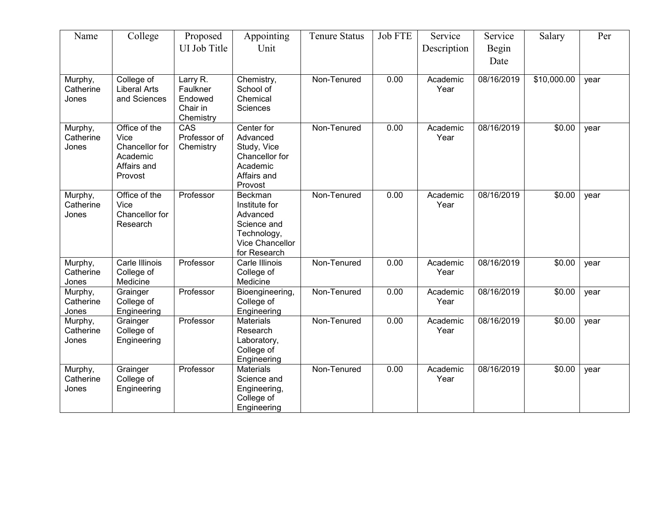| Name                          | College                                                                       | Proposed                                                 | Appointing                                                                                                   | <b>Tenure Status</b> | <b>Job FTE</b>    | Service          | Service       | Salary      | Per  |
|-------------------------------|-------------------------------------------------------------------------------|----------------------------------------------------------|--------------------------------------------------------------------------------------------------------------|----------------------|-------------------|------------------|---------------|-------------|------|
|                               |                                                                               | UI Job Title                                             | Unit                                                                                                         |                      |                   | Description      | Begin<br>Date |             |      |
| Murphy,<br>Catherine<br>Jones | College of<br><b>Liberal Arts</b><br>and Sciences                             | Larry R.<br>Faulkner<br>Endowed<br>Chair in<br>Chemistry | Chemistry,<br>School of<br>Chemical<br>Sciences                                                              | Non-Tenured          | 0.00              | Academic<br>Year | 08/16/2019    | \$10,000.00 | year |
| Murphy,<br>Catherine<br>Jones | Office of the<br>Vice<br>Chancellor for<br>Academic<br>Affairs and<br>Provost | CAS<br>Professor of<br>Chemistry                         | Center for<br>Advanced<br>Study, Vice<br>Chancellor for<br>Academic<br>Affairs and<br>Provost                | Non-Tenured          | 0.00              | Academic<br>Year | 08/16/2019    | \$0.00      | year |
| Murphy,<br>Catherine<br>Jones | Office of the<br>Vice<br>Chancellor for<br>Research                           | Professor                                                | <b>Beckman</b><br>Institute for<br>Advanced<br>Science and<br>Technology,<br>Vice Chancellor<br>for Research | Non-Tenured          | 0.00              | Academic<br>Year | 08/16/2019    | \$0.00      | year |
| Murphy,<br>Catherine<br>Jones | Carle Illinois<br>College of<br>Medicine                                      | Professor                                                | Carle Illinois<br>College of<br>Medicine                                                                     | Non-Tenured          | 0.00              | Academic<br>Year | 08/16/2019    | \$0.00      | year |
| Murphy,<br>Catherine<br>Jones | Grainger<br>College of<br>Engineering                                         | Professor                                                | Bioengineering,<br>College of<br>Engineering                                                                 | Non-Tenured          | 0.00              | Academic<br>Year | 08/16/2019    | \$0.00      | year |
| Murphy,<br>Catherine<br>Jones | Grainger<br>College of<br>Engineering                                         | Professor                                                | <b>Materials</b><br>Research<br>Laboratory,<br>College of<br>Engineering                                     | Non-Tenured          | $\overline{0.00}$ | Academic<br>Year | 08/16/2019    | \$0.00      | year |
| Murphy,<br>Catherine<br>Jones | Grainger<br>College of<br>Engineering                                         | Professor                                                | <b>Materials</b><br>Science and<br>Engineering,<br>College of<br>Engineering                                 | Non-Tenured          | 0.00              | Academic<br>Year | 08/16/2019    | \$0.00      | year |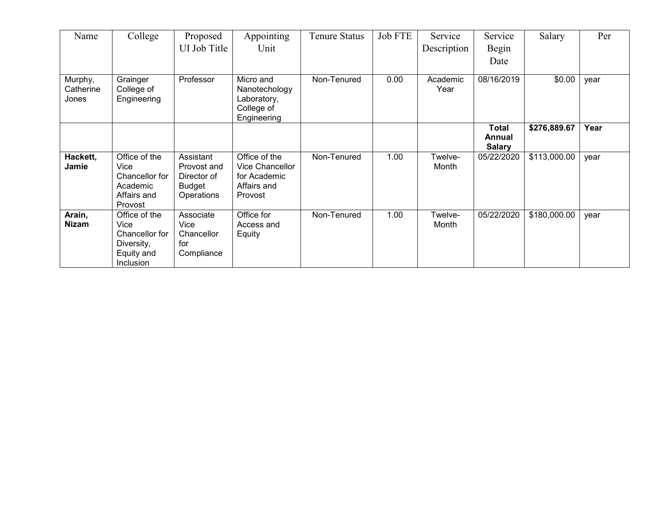| Name                          | College                                                                          | Proposed<br>UI Job Title                                               | Appointing<br>Unit                                                         | <b>Tenure Status</b> | <b>Job FTE</b> | Service          | Service                                 | Salary       | Per  |
|-------------------------------|----------------------------------------------------------------------------------|------------------------------------------------------------------------|----------------------------------------------------------------------------|----------------------|----------------|------------------|-----------------------------------------|--------------|------|
|                               |                                                                                  |                                                                        |                                                                            |                      |                | Description      | Begin<br>Date                           |              |      |
| Murphy,<br>Catherine<br>Jones | Grainger<br>College of<br>Engineering                                            | Professor                                                              | Micro and<br>Nanotechology<br>Laboratory,<br>College of<br>Engineering     | Non-Tenured          | 0.00           | Academic<br>Year | 08/16/2019                              | \$0.00       | year |
|                               |                                                                                  |                                                                        |                                                                            |                      |                |                  | <b>Total</b><br>Annual<br><b>Salary</b> | \$276,889.67 | Year |
| Hackett,<br>Jamie             | Office of the<br>Vice<br>Chancellor for<br>Academic<br>Affairs and<br>Provost    | Assistant<br>Provost and<br>Director of<br><b>Budget</b><br>Operations | Office of the<br>Vice Chancellor<br>for Academic<br>Affairs and<br>Provost | Non-Tenured          | 1.00           | Twelve-<br>Month | 05/22/2020                              | \$113,000.00 | year |
| Arain,<br><b>Nizam</b>        | Office of the<br>Vice<br>Chancellor for<br>Diversity,<br>Equity and<br>Inclusion | Associate<br>Vice<br>Chancellor<br>for<br>Compliance                   | Office for<br>Access and<br>Equity                                         | Non-Tenured          | 1.00           | Twelve-<br>Month | 05/22/2020                              | \$180,000.00 | year |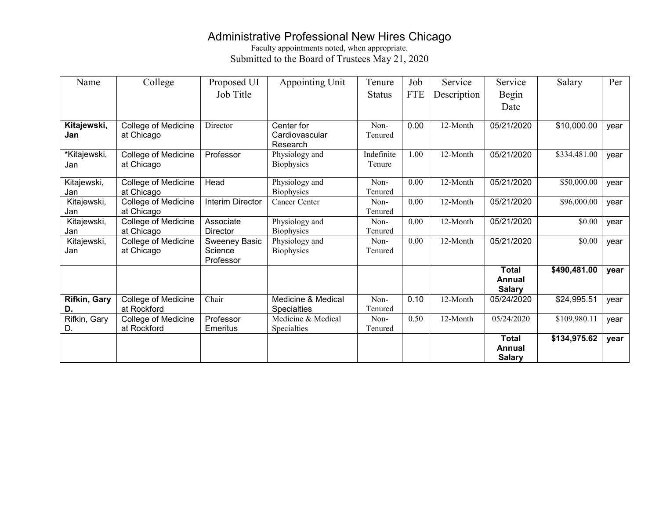## Administrative Professional New Hires Chicago

Faculty appointments noted, when appropriate. Submitted to the Board of Trustees May 21, 2020

| Name                | College                           | Proposed UI      | Appointing Unit              | Tenure        | Job        | Service     | Service       | Salary       | Per  |
|---------------------|-----------------------------------|------------------|------------------------------|---------------|------------|-------------|---------------|--------------|------|
|                     |                                   | Job Title        |                              | <b>Status</b> | <b>FTE</b> | Description | Begin         |              |      |
|                     |                                   |                  |                              |               |            |             | Date          |              |      |
|                     |                                   |                  |                              |               |            |             |               |              |      |
| Kitajewski,         | College of Medicine               | Director         | Center for                   | Non-          | 0.00       | 12-Month    | 05/21/2020    | \$10,000.00  | year |
| Jan                 | at Chicago                        |                  | Cardiovascular               | Tenured       |            |             |               |              |      |
| *Kitajewski,        |                                   | Professor        | Research                     | Indefinite    | 1.00       | 12-Month    | 05/21/2020    |              |      |
| Jan                 | College of Medicine<br>at Chicago |                  | Physiology and<br>Biophysics | Tenure        |            |             |               | \$334,481.00 | year |
|                     |                                   |                  |                              |               |            |             |               |              |      |
| Kitajewski,         | College of Medicine               | Head             | Physiology and               | Non-          | 0.00       | 12-Month    | 05/21/2020    | \$50,000.00  | year |
| Jan                 | at Chicago                        |                  | Biophysics                   | Tenured       |            |             |               |              |      |
| Kitajewski,         | College of Medicine               | Interim Director | Cancer Center                | Non-          | 0.00       | 12-Month    | 05/21/2020    | \$96,000.00  | year |
| Jan                 | at Chicago                        |                  |                              | Tenured       |            |             |               |              |      |
| Kitajewski,         | College of Medicine               | Associate        | Physiology and               | Non-          | 0.00       | 12-Month    | 05/21/2020    | \$0.00       | year |
| Jan                 | at Chicago                        | Director         | Biophysics                   | Tenured       |            |             |               |              |      |
| Kitajewski,         | College of Medicine               | Sweeney Basic    | Physiology and               | Non-          | 0.00       | 12-Month    | 05/21/2020    | \$0.00       | year |
| Jan                 | at Chicago                        | Science          | Biophysics                   | Tenured       |            |             |               |              |      |
|                     |                                   | Professor        |                              |               |            |             |               |              |      |
|                     |                                   |                  |                              |               |            |             | <b>Total</b>  | \$490,481.00 | year |
|                     |                                   |                  |                              |               |            |             | Annual        |              |      |
|                     |                                   |                  |                              |               |            |             | <b>Salary</b> |              |      |
| <b>Rifkin, Gary</b> | College of Medicine               | Chair            | Medicine & Medical           | Non-          | 0.10       | 12-Month    | 05/24/2020    | \$24,995.51  | year |
| D.                  | at Rockford                       |                  | <b>Specialties</b>           | Tenured       |            |             |               |              |      |
| Rifkin, Gary        | College of Medicine               | Professor        | Medicine & Medical           | Non-          | 0.50       | 12-Month    | 05/24/2020    | \$109,980.11 | year |
| D.                  | at Rockford                       | Emeritus         | Specialties                  | Tenured       |            |             |               |              |      |
|                     |                                   |                  |                              |               |            |             | <b>Total</b>  | \$134,975.62 | vear |
|                     |                                   |                  |                              |               |            |             | Annual        |              |      |
|                     |                                   |                  |                              |               |            |             | <b>Salary</b> |              |      |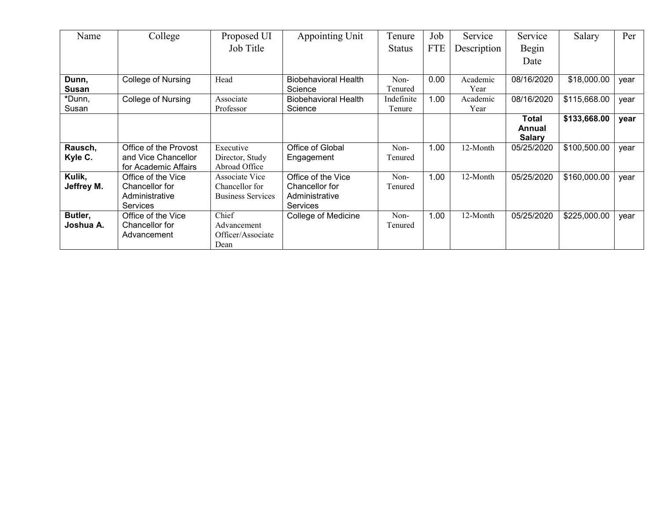| Name       | College                   | Proposed UI              | <b>Appointing Unit</b>      | Tenure        | Job        | Service     | Service       | Salary       | Per  |
|------------|---------------------------|--------------------------|-----------------------------|---------------|------------|-------------|---------------|--------------|------|
|            |                           | Job Title                |                             | <b>Status</b> | <b>FTE</b> | Description | Begin         |              |      |
|            |                           |                          |                             |               |            |             | Date          |              |      |
|            |                           |                          |                             |               |            |             |               |              |      |
| Dunn,      | <b>College of Nursing</b> | Head                     | <b>Biobehavioral Health</b> | Non-          | 0.00       | Academic    | 08/16/2020    | \$18,000.00  | year |
| Susan      |                           |                          | Science                     | Tenured       |            | Year        |               |              |      |
| *Dunn,     | College of Nursing        | Associate                | <b>Biobehavioral Health</b> | Indefinite    | 1.00       | Academic    | 08/16/2020    | \$115,668.00 | year |
| Susan      |                           | Professor                | Science                     | Tenure        |            | Year        |               |              |      |
|            |                           |                          |                             |               |            |             | Total         | \$133,668.00 | year |
|            |                           |                          |                             |               |            |             | Annual        |              |      |
|            |                           |                          |                             |               |            |             | <b>Salary</b> |              |      |
| Rausch,    | Office of the Provost     | Executive                | Office of Global            | Non-          | 1.00       | 12-Month    | 05/25/2020    | \$100,500.00 | year |
| Kyle C.    | and Vice Chancellor       | Director, Study          | Engagement                  | Tenured       |            |             |               |              |      |
|            | for Academic Affairs      | Abroad Office            |                             |               |            |             |               |              |      |
| Kulik,     | Office of the Vice        | Associate Vice           | Office of the Vice          | Non-          | 1.00       | 12-Month    | 05/25/2020    | \$160,000.00 | year |
| Jeffrey M. | Chancellor for            | Chancellor for           | Chancellor for              | Tenured       |            |             |               |              |      |
|            | Administrative            | <b>Business Services</b> | Administrative              |               |            |             |               |              |      |
|            | <b>Services</b>           |                          | <b>Services</b>             |               |            |             |               |              |      |
| Butler,    | Office of the Vice        | Chief                    | <b>College of Medicine</b>  | Non-          | 1.00       | 12-Month    | 05/25/2020    | \$225,000.00 | year |
| Joshua A.  | Chancellor for            | Advancement              |                             | Tenured       |            |             |               |              |      |
|            | Advancement               | Officer/Associate        |                             |               |            |             |               |              |      |
|            |                           | Dean                     |                             |               |            |             |               |              |      |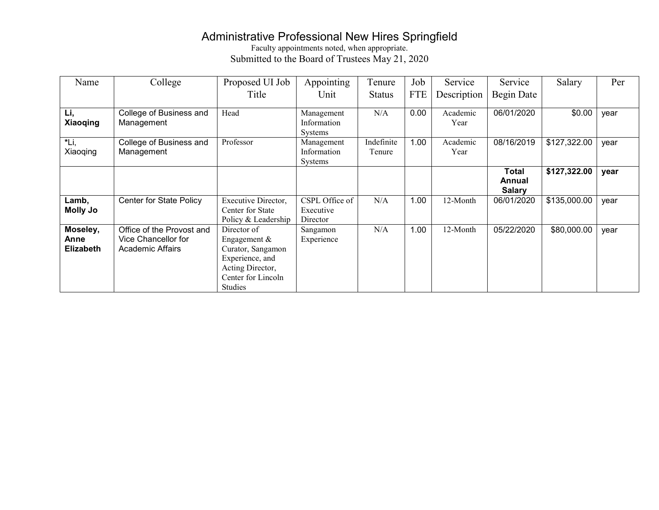### Administrative Professional New Hires Springfield

Faculty appointments noted, when appropriate. Submitted to the Board of Trustees May 21, 2020

| Name                                 | College                                                              | Proposed UI Job                                                                                                                   | Appointing                                  | Tenure               | Job        | Service          | Service                          | Salary       | Per  |
|--------------------------------------|----------------------------------------------------------------------|-----------------------------------------------------------------------------------------------------------------------------------|---------------------------------------------|----------------------|------------|------------------|----------------------------------|--------------|------|
|                                      |                                                                      | Title                                                                                                                             | Unit                                        | <b>Status</b>        | <b>FTE</b> | Description      | Begin Date                       |              |      |
| Li,<br><b>Xiaoqing</b>               | College of Business and<br>Management                                | Head                                                                                                                              | Management<br>Information<br><b>Systems</b> | N/A                  | 0.00       | Academic<br>Year | 06/01/2020                       | \$0.00       | year |
| *Li,<br>Xiaoqing                     | College of Business and<br>Management                                | Professor                                                                                                                         | Management<br>Information<br>Systems        | Indefinite<br>Tenure | 1.00       | Academic<br>Year | 08/16/2019                       | \$127,322.00 | year |
|                                      |                                                                      |                                                                                                                                   |                                             |                      |            |                  | Total<br>Annual<br><b>Salary</b> | \$127,322.00 | year |
| Lamb,<br><b>Molly Jo</b>             | Center for State Policy                                              | Executive Director,<br>Center for State<br>Policy & Leadership                                                                    | CSPL Office of<br>Executive<br>Director     | N/A                  | 1.00       | 12-Month         | 06/01/2020                       | \$135,000.00 | year |
| Moseley,<br>Anne<br><b>Elizabeth</b> | Office of the Provost and<br>Vice Chancellor for<br>Academic Affairs | Director of<br>Engagement $&$<br>Curator, Sangamon<br>Experience, and<br>Acting Director,<br>Center for Lincoln<br><b>Studies</b> | Sangamon<br>Experience                      | N/A                  | 1.00       | 12-Month         | 05/22/2020                       | \$80,000.00  | year |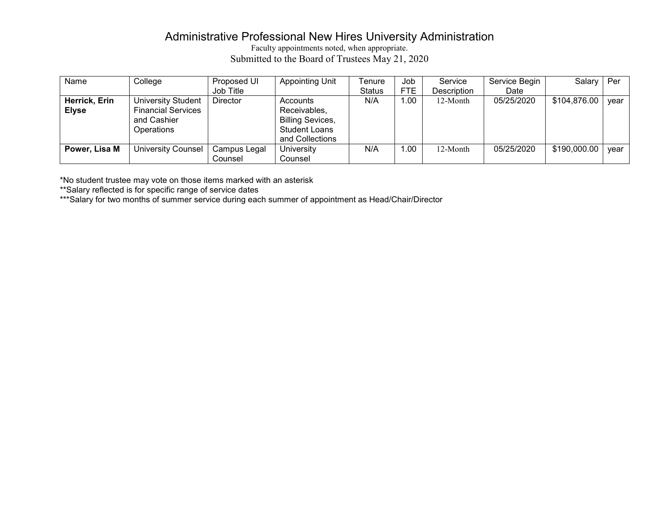## Administrative Professional New Hires University Administration

Faculty appointments noted, when appropriate. Submitted to the Board of Trustees May 21, 2020

| Name          | College                   | Proposed UI     | <b>Appointing Unit</b>  | Tenure        | Job               | Service     | Service Begin | Salary   Per         |      |
|---------------|---------------------------|-----------------|-------------------------|---------------|-------------------|-------------|---------------|----------------------|------|
|               |                           | Job Title       |                         | <b>Status</b> | <b>FTE</b>        | Description | Date          |                      |      |
| Herrick, Erin | <b>University Student</b> | <b>Director</b> | Accounts                | N/A           | 1.00 <sub>1</sub> | 12-Month    | 05/25/2020    | $$104,876.00$   year |      |
| <b>Elyse</b>  | <b>Financial Services</b> |                 | Receivables,            |               |                   |             |               |                      |      |
|               | and Cashier               |                 | <b>Billing Sevices,</b> |               |                   |             |               |                      |      |
|               | <b>Operations</b>         |                 | <b>Student Loans</b>    |               |                   |             |               |                      |      |
|               |                           |                 | and Collections         |               |                   |             |               |                      |      |
| Power, Lisa M | <b>University Counsel</b> | Campus Legal    | University              | N/A           | 1.00              | 12-Month    | 05/25/2020    | \$190,000.00         | vear |
|               |                           | Counsel         | Counsel                 |               |                   |             |               |                      |      |

\*No student trustee may vote on those items marked with an asterisk

\*\*Salary reflected is for specific range of service dates

\*\*\*Salary for two months of summer service during each summer of appointment as Head/Chair/Director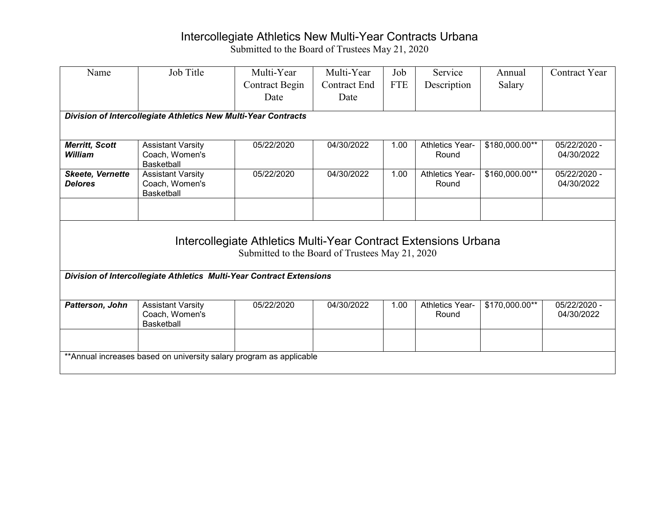## Intercollegiate Athletics New Multi-Year Contracts Urbana

| Name                                      | Job Title                                                            | Multi-Year                                                                                                         | Multi-Year          | Job        | Service                         | Annual         | <b>Contract Year</b>       |  |  |  |
|-------------------------------------------|----------------------------------------------------------------------|--------------------------------------------------------------------------------------------------------------------|---------------------|------------|---------------------------------|----------------|----------------------------|--|--|--|
|                                           |                                                                      | <b>Contract Begin</b>                                                                                              | <b>Contract End</b> | <b>FTE</b> | Description                     | Salary         |                            |  |  |  |
|                                           |                                                                      | Date                                                                                                               | Date                |            |                                 |                |                            |  |  |  |
|                                           | Division of Intercollegiate Athletics New Multi-Year Contracts       |                                                                                                                    |                     |            |                                 |                |                            |  |  |  |
|                                           |                                                                      |                                                                                                                    |                     |            |                                 |                |                            |  |  |  |
| <b>Merritt, Scott</b><br>William          | <b>Assistant Varsity</b><br>Coach, Women's<br><b>Basketball</b>      | 05/22/2020                                                                                                         | 04/30/2022          | 1.00       | <b>Athletics Year-</b><br>Round | \$180,000.00** | 05/22/2020 -<br>04/30/2022 |  |  |  |
| <b>Skeete, Vernette</b><br><b>Delores</b> | <b>Assistant Varsity</b><br>Coach, Women's<br><b>Basketball</b>      | 05/22/2020                                                                                                         | 04/30/2022          | 1.00       | <b>Athletics Year-</b><br>Round | \$160,000.00** | 05/22/2020 -<br>04/30/2022 |  |  |  |
|                                           |                                                                      |                                                                                                                    |                     |            |                                 |                |                            |  |  |  |
|                                           |                                                                      | Intercollegiate Athletics Multi-Year Contract Extensions Urbana<br>Submitted to the Board of Trustees May 21, 2020 |                     |            |                                 |                |                            |  |  |  |
|                                           | Division of Intercollegiate Athletics Multi-Year Contract Extensions |                                                                                                                    |                     |            |                                 |                |                            |  |  |  |
| Patterson, John                           | <b>Assistant Varsity</b><br>Coach, Women's<br><b>Basketball</b>      | 05/22/2020                                                                                                         | 04/30/2022          | 1.00       | <b>Athletics Year-</b><br>Round | \$170,000.00** | 05/22/2020 -<br>04/30/2022 |  |  |  |
|                                           |                                                                      |                                                                                                                    |                     |            |                                 |                |                            |  |  |  |
|                                           | ** Annual increases based on university salary program as applicable |                                                                                                                    |                     |            |                                 |                |                            |  |  |  |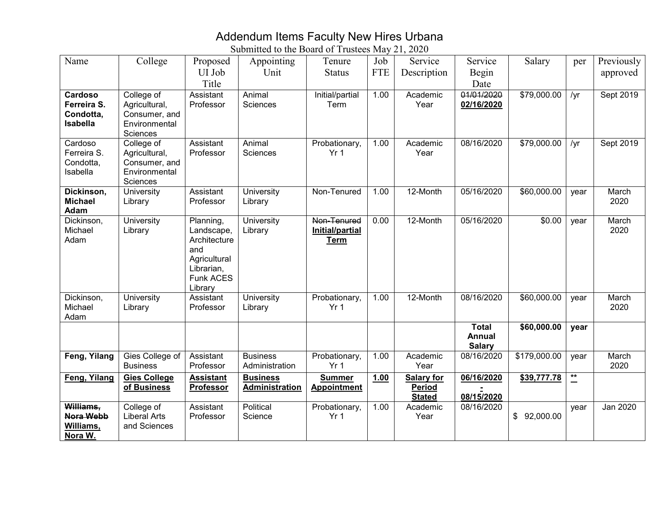### Addendum Items Faculty New Hires Urbana

| Name                          | College                            | Proposed                       | Appointing                        | Tenure                           | Job        | Service           | Service                  | Salary       | per            | Previously      |
|-------------------------------|------------------------------------|--------------------------------|-----------------------------------|----------------------------------|------------|-------------------|--------------------------|--------------|----------------|-----------------|
|                               |                                    | UI Job                         | Unit                              | <b>Status</b>                    | <b>FTE</b> | Description       | Begin                    |              |                | approved        |
|                               |                                    | Title                          |                                   |                                  |            |                   | Date                     |              |                |                 |
| Cardoso<br>Ferreira S.        | College of<br>Agricultural,        | Assistant<br>Professor         | Animal<br>Sciences                | Initial/partial<br>Term          | 1.00       | Academic<br>Year  | 01/01/2020<br>02/16/2020 | \$79,000.00  | /yr            | Sept 2019       |
| Condotta,                     | Consumer, and                      |                                |                                   |                                  |            |                   |                          |              |                |                 |
| <b>Isabella</b>               | Environmental                      |                                |                                   |                                  |            |                   |                          |              |                |                 |
| Cardoso                       | Sciences                           | Assistant                      | Animal                            |                                  |            | Academic          | 08/16/2020               | \$79,000.00  |                |                 |
| Ferreira S.                   | College of<br>Agricultural,        | Professor                      | <b>Sciences</b>                   | Probationary,<br>Yr <sub>1</sub> | 1.00       | Year              |                          |              | /yr            | Sept 2019       |
| Condotta,                     | Consumer, and                      |                                |                                   |                                  |            |                   |                          |              |                |                 |
| Isabella                      | Environmental                      |                                |                                   |                                  |            |                   |                          |              |                |                 |
| Dickinson,                    | Sciences<br>University             | Assistant                      | University                        | Non-Tenured                      | 1.00       | 12-Month          | 05/16/2020               | \$60,000.00  | year           | March           |
| <b>Michael</b>                | Library                            | Professor                      | Library                           |                                  |            |                   |                          |              |                | 2020            |
| Adam                          |                                    |                                |                                   |                                  |            |                   |                          |              |                |                 |
| Dickinson,                    | University                         | Planning,                      | University                        | Non-Tenured                      | 0.00       | 12-Month          | 05/16/2020               | \$0.00       | year           | March           |
| Michael<br>Adam               | Library                            | Landscape,<br>Architecture     | Library                           | Initial/partial<br><b>Term</b>   |            |                   |                          |              |                | 2020            |
|                               |                                    | and                            |                                   |                                  |            |                   |                          |              |                |                 |
|                               |                                    | Agricultural                   |                                   |                                  |            |                   |                          |              |                |                 |
|                               |                                    | Librarian,<br><b>Funk ACES</b> |                                   |                                  |            |                   |                          |              |                |                 |
|                               |                                    | Library                        |                                   |                                  |            |                   |                          |              |                |                 |
| Dickinson,                    | University                         | Assistant                      | University                        | Probationary,                    | 1.00       | 12-Month          | 08/16/2020               | \$60,000.00  | year           | March           |
| Michael<br>Adam               | Library                            | Professor                      | Library                           | Yr <sub>1</sub>                  |            |                   |                          |              |                | 2020            |
|                               |                                    |                                |                                   |                                  |            |                   | <b>Total</b>             | \$60,000.00  | year           |                 |
|                               |                                    |                                |                                   |                                  |            |                   | <b>Annual</b>            |              |                |                 |
|                               |                                    |                                |                                   |                                  |            |                   | <b>Salary</b>            |              |                |                 |
| Feng, Yilang                  | Gies College of<br><b>Business</b> | Assistant<br>Professor         | <b>Business</b><br>Administration | Probationary,<br>Yr <sub>1</sub> | 1.00       | Academic<br>Year  | 08/16/2020               | \$179,000.00 | year           | March<br>2020   |
| Feng, Yilang                  | <b>Gies College</b>                | <b>Assistant</b>               | <b>Business</b>                   | <b>Summer</b>                    | 1.00       | <b>Salary for</b> | 06/16/2020               | \$39,777.78  | $\mathbf{r}^*$ |                 |
|                               | of Business                        | Professor                      | <b>Administration</b>             | <b>Appointment</b>               |            | <b>Period</b>     |                          |              |                |                 |
|                               |                                    |                                |                                   |                                  |            | <b>Stated</b>     | 08/15/2020               |              |                |                 |
| Williams,<br><b>Nora Webb</b> | College of<br><b>Liberal Arts</b>  | Assistant<br>Professor         | Political<br>Science              | Probationary,<br>Yr <sub>1</sub> | 1.00       | Academic<br>Year  | 08/16/2020               | \$92,000.00  | year           | <b>Jan 2020</b> |
| Williams,                     | and Sciences                       |                                |                                   |                                  |            |                   |                          |              |                |                 |
| Nora W.                       |                                    |                                |                                   |                                  |            |                   |                          |              |                |                 |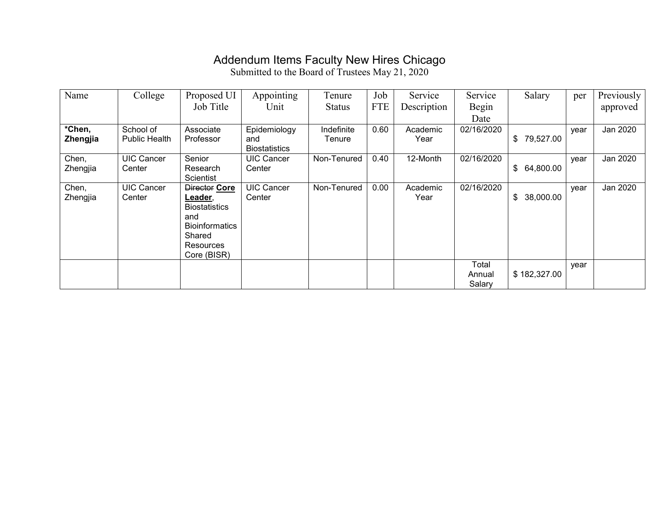## Addendum Items Faculty New Hires Chicago

| Name     | College              | Proposed UI           | Appointing                  | Tenure        | Job        | Service     | Service    | Salary          | per  | Previously |
|----------|----------------------|-----------------------|-----------------------------|---------------|------------|-------------|------------|-----------------|------|------------|
|          |                      | Job Title             | Unit                        | <b>Status</b> | <b>FTE</b> | Description | Begin      |                 |      | approved   |
|          |                      |                       |                             |               |            |             | Date       |                 |      |            |
| *Chen,   | School of            | Associate             | Epidemiology                | Indefinite    | 0.60       | Academic    | 02/16/2020 |                 | year | Jan 2020   |
| Zhengjia | <b>Public Health</b> | Professor             | and<br><b>Biostatistics</b> | Tenure        |            | Year        |            | \$79,527.00     |      |            |
| Chen,    | <b>UIC Cancer</b>    | Senior                | <b>UIC Cancer</b>           | Non-Tenured   | 0.40       | 12-Month    | 02/16/2020 |                 | year | Jan 2020   |
| Zhengjia | Center               | Research<br>Scientist | Center                      |               |            |             |            | \$64,800.00     |      |            |
| Chen,    | UIC Cancer           | Director Core         | <b>UIC Cancer</b>           | Non-Tenured   | 0.00       | Academic    | 02/16/2020 |                 |      | Jan 2020   |
| Zhengjia | Center               | Leader,               | Center                      |               |            | Year        |            | 38,000.00<br>\$ | year |            |
|          |                      | <b>Biostatistics</b>  |                             |               |            |             |            |                 |      |            |
|          |                      | and                   |                             |               |            |             |            |                 |      |            |
|          |                      | <b>Bioinformatics</b> |                             |               |            |             |            |                 |      |            |
|          |                      | Shared                |                             |               |            |             |            |                 |      |            |
|          |                      | <b>Resources</b>      |                             |               |            |             |            |                 |      |            |
|          |                      | Core (BISR)           |                             |               |            |             |            |                 |      |            |
|          |                      |                       |                             |               |            |             | Total      |                 | year |            |
|          |                      |                       |                             |               |            |             | Annual     | \$182,327.00    |      |            |
|          |                      |                       |                             |               |            |             | Salary     |                 |      |            |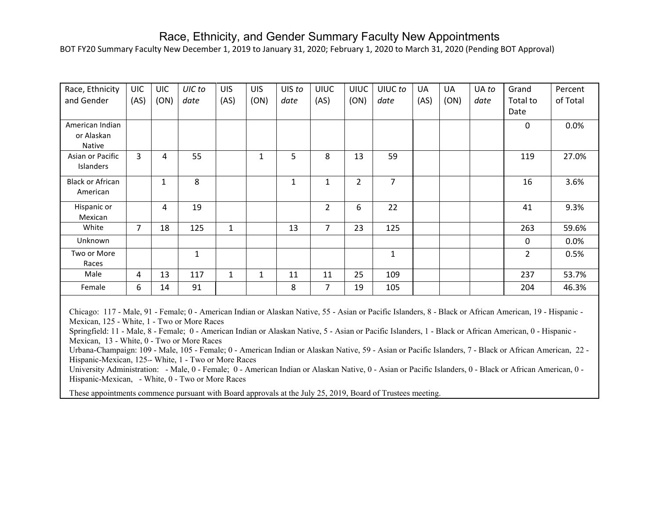#### Race, Ethnicity, and Gender Summary Faculty New Appointments

BOT FY20 Summary Faculty New December 1, 2019 to January 31, 2020; February 1, 2020 to March 31, 2020 (Pending BOT Approval)

| Race, Ethnicity<br>and Gender                  | <b>UIC</b><br>(AS) | <b>UIC</b><br>(ON) | UIC to<br>date | <b>UIS</b><br>(AS) | <b>UIS</b><br>(ON) | UIS to<br>date | <b>UIUC</b><br>(AS) | <b>UIUC</b><br>(ON) | UIUC to<br>date | UA<br>(AS) | UA<br>(ON) | UA to<br>date | Grand<br>Total to | Percent<br>of Total |
|------------------------------------------------|--------------------|--------------------|----------------|--------------------|--------------------|----------------|---------------------|---------------------|-----------------|------------|------------|---------------|-------------------|---------------------|
|                                                |                    |                    |                |                    |                    |                |                     |                     |                 |            |            |               | Date              |                     |
| American Indian<br>or Alaskan<br><b>Native</b> |                    |                    |                |                    |                    |                |                     |                     |                 |            |            |               | 0                 | 0.0%                |
| Asian or Pacific<br>Islanders                  | 3                  | 4                  | 55             |                    | 1                  | 5              | 8                   | 13                  | 59              |            |            |               | 119               | 27.0%               |
| <b>Black or African</b><br>American            |                    | 1                  | 8              |                    |                    | $\mathbf{1}$   | 1                   | $\overline{2}$      | 7               |            |            |               | 16                | 3.6%                |
| Hispanic or<br>Mexican                         |                    | 4                  | 19             |                    |                    |                | $\overline{2}$      | 6                   | 22              |            |            |               | 41                | 9.3%                |
| White                                          | $\overline{7}$     | 18                 | 125            | 1                  |                    | 13             | $\overline{7}$      | 23                  | 125             |            |            |               | 263               | 59.6%               |
| Unknown                                        |                    |                    |                |                    |                    |                |                     |                     |                 |            |            |               | $\Omega$          | 0.0%                |
| Two or More<br>Races                           |                    |                    | 1              |                    |                    |                |                     |                     | 1               |            |            |               | $\overline{2}$    | 0.5%                |
| Male                                           | 4                  | 13                 | 117            | 1                  | 1                  | 11             | 11                  | 25                  | 109             |            |            |               | 237               | 53.7%               |
| Female                                         | 6                  | 14                 | 91             |                    |                    | 8              | $\overline{7}$      | 19                  | 105             |            |            |               | 204               | 46.3%               |

Chicago: 117 - Male, 91 - Female; 0 - American Indian or Alaskan Native, 55 - Asian or Pacific Islanders, 8 - Black or African American, 19 - Hispanic - Mexican, 125 - White, 1 - Two or More Races

Springfield: 11 - Male, 8 - Female; 0 - American Indian or Alaskan Native, 5 - Asian or Pacific Islanders, 1 - Black or African American, 0 - Hispanic - Mexican, 13 - White, 0 - Two or More Races

Urbana-Champaign: 109 - Male, 105 - Female; 0 - American Indian or Alaskan Native, 59 - Asian or Pacific Islanders, 7 - Black or African American, 22 - Hispanic-Mexican, 125 -- White, 1 - Two or More Races

University Administration: - Male, 0 - Female; 0 - American Indian or Alaskan Native, 0 - Asian or Pacific Islanders, 0 - Black or African American, 0 - Hispanic-Mexican, - White, 0 - Two or More Races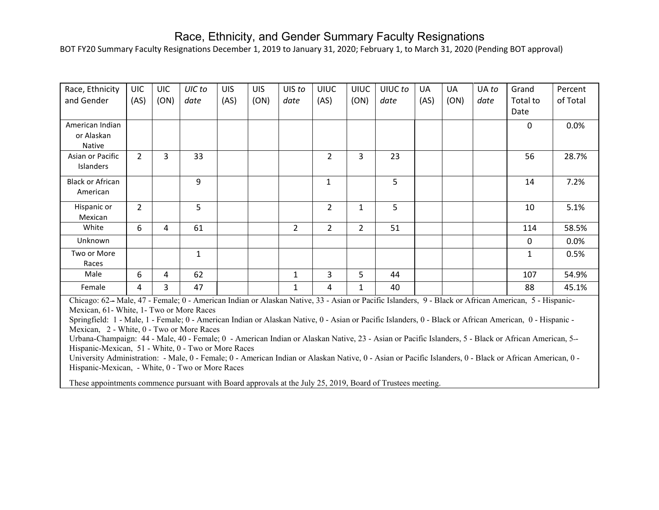#### Race, Ethnicity, and Gender Summary Faculty Resignations

BOT FY20 Summary Faculty Resignations December 1, 2019 to January 31, 2020; February 1, to March 31, 2020 (Pending BOT approval)

| Race, Ethnicity<br>and Gender           | <b>UIC</b><br>(AS) | <b>UIC</b><br>(ON) | UIC to<br>date | <b>UIS</b><br>(AS) | <b>UIS</b><br>(ON) | UIS to<br>date | <b>UIUC</b><br>(AS) | <b>UIUC</b><br>(ON) | UIUC to<br>date | UA<br>(AS) | UA<br>(ON) | UA to<br>date | Grand<br>Total to<br>Date | Percent<br>of Total |
|-----------------------------------------|--------------------|--------------------|----------------|--------------------|--------------------|----------------|---------------------|---------------------|-----------------|------------|------------|---------------|---------------------------|---------------------|
| American Indian<br>or Alaskan<br>Native |                    |                    |                |                    |                    |                |                     |                     |                 |            |            |               | 0                         | 0.0%                |
| Asian or Pacific<br>Islanders           | $\overline{2}$     | 3                  | 33             |                    |                    |                | $\overline{2}$      | 3                   | 23              |            |            |               | 56                        | 28.7%               |
| <b>Black or African</b><br>American     |                    |                    | 9              |                    |                    |                | $\mathbf{1}$        |                     | 5               |            |            |               | 14                        | 7.2%                |
| Hispanic or<br>Mexican                  | $\overline{2}$     |                    | 5              |                    |                    |                | $\overline{2}$      | 1                   | $5\phantom{.}$  |            |            |               | 10                        | 5.1%                |
| White                                   | 6                  | 4                  | 61             |                    |                    | $\overline{2}$ | $\overline{2}$      | $\overline{2}$      | 51              |            |            |               | 114                       | 58.5%               |
| Unknown                                 |                    |                    |                |                    |                    |                |                     |                     |                 |            |            |               | 0                         | 0.0%                |
| Two or More<br>Races                    |                    |                    | 1              |                    |                    |                |                     |                     |                 |            |            |               | 1                         | 0.5%                |
| Male                                    | 6                  | 4                  | 62             |                    |                    | 1              | 3                   | 5                   | 44              |            |            |               | 107                       | 54.9%               |
| Female                                  | 4                  | 3                  | 47             |                    |                    | 1              | 4                   | 1                   | 40              |            |            |               | 88                        | 45.1%               |

Chicago: 62 - Male, 47 - Female; 0 - American Indian or Alaskan Native, 33 - Asian or Pacific Islanders, 9 - Black or African American, 5 - Hispanic-Mexican, 61- White, 1- Two or More Races

Springfield: 1 - Male, 1 - Female; 0 - American Indian or Alaskan Native, 0 - Asian or Pacific Islanders, 0 - Black or African American, 0 - Hispanic - Mexican, 2 - White, 0 - Two or More Races

Urbana-Champaign: 44 - Male, 40 - Female; 0 - American Indian or Alaskan Native, 23 - Asian or Pacific Islanders, 5 - Black or African American, 5--Hispanic-Mexican, 51 - White, 0 - Two or More Races

University Administration: - Male, 0 - Female; 0 - American Indian or Alaskan Native, 0 - Asian or Pacific Islanders, 0 - Black or African American, 0 - Hispanic-Mexican, - White, 0 - Two or More Races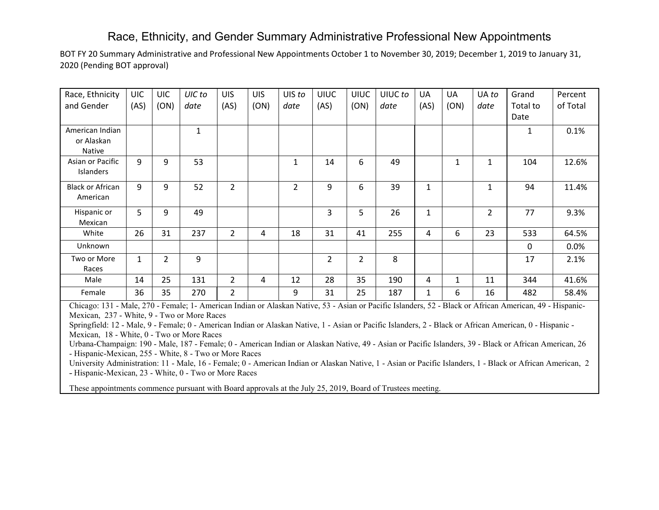### Race, Ethnicity, and Gender Summary Administrative Professional New Appointments

BOT FY 20 Summary Administrative and Professional New Appointments October 1 to November 30, 2019; December 1, 2019 to January 31, 2020 (Pending BOT approval)

| Race, Ethnicity         | <b>UIC</b>   | <b>UIC</b>     | UIC to       | <b>UIS</b>     | <b>UIS</b> | UIS to         | <b>UIUC</b>    | <b>UIUC</b>    | UIUC to | UA           | UA   | UA to          | Grand    | Percent  |
|-------------------------|--------------|----------------|--------------|----------------|------------|----------------|----------------|----------------|---------|--------------|------|----------------|----------|----------|
| and Gender              | (AS)         | (ON)           | date         | (AS)           | (ON)       | date           | (AS)           | (ON)           | date    | (AS)         | (ON) | date           | Total to | of Total |
|                         |              |                |              |                |            |                |                |                |         |              |      |                | Date     |          |
| American Indian         |              |                | $\mathbf{1}$ |                |            |                |                |                |         |              |      |                | 1        | 0.1%     |
| or Alaskan              |              |                |              |                |            |                |                |                |         |              |      |                |          |          |
| <b>Native</b>           |              |                |              |                |            |                |                |                |         |              |      |                |          |          |
| Asian or Pacific        | 9            | 9              | 53           |                |            | $\mathbf{1}$   | 14             | 6              | 49      |              | 1    | 1              | 104      | 12.6%    |
| Islanders               |              |                |              |                |            |                |                |                |         |              |      |                |          |          |
| <b>Black or African</b> | 9            | 9              | 52           | $\overline{2}$ |            | $\overline{2}$ | 9              | 6              | 39      | $\mathbf{1}$ |      | $\mathbf{1}$   | 94       | 11.4%    |
| American                |              |                |              |                |            |                |                |                |         |              |      |                |          |          |
| Hispanic or             | 5            | 9              | 49           |                |            |                | 3              | 5              | 26      | 1            |      | $\overline{2}$ | 77       | 9.3%     |
| Mexican                 |              |                |              |                |            |                |                |                |         |              |      |                |          |          |
| White                   | 26           | 31             | 237          | 2              | 4          | 18             | 31             | 41             | 255     | 4            | 6    | 23             | 533      | 64.5%    |
| Unknown                 |              |                |              |                |            |                |                |                |         |              |      |                | 0        | 0.0%     |
| Two or More             | $\mathbf{1}$ | $\overline{2}$ | 9            |                |            |                | $\overline{2}$ | $\overline{2}$ | 8       |              |      |                | 17       | 2.1%     |
| Races                   |              |                |              |                |            |                |                |                |         |              |      |                |          |          |
| Male                    | 14           | 25             | 131          | $\overline{2}$ | 4          | 12             | 28             | 35             | 190     | 4            | 1    | 11             | 344      | 41.6%    |
| Female                  | 36           | 35             | 270          | $\overline{2}$ |            | 9              | 31             | 25             | 187     | 1            | 6    | 16             | 482      | 58.4%    |

Chicago: 131 - Male, 270 - Female; 1- American Indian or Alaskan Native, 53 - Asian or Pacific Islanders, 52 - Black or African American, 49 - Hispanic-Mexican, 237 - White, 9 - Two or More Races

Springfield: 12 - Male, 9 - Female; 0 - American Indian or Alaskan Native, 1 - Asian or Pacific Islanders, 2 - Black or African American, 0 - Hispanic - Mexican, 18 - White, 0 - Two or More Races

Urbana-Champaign: 190 - Male, 187 - Female; 0 - American Indian or Alaskan Native, 49 - Asian or Pacific Islanders, 39 - Black or African American, 26 - Hispanic-Mexican, 255 - White, 8 - Two or More Races

University Administration: 11 - Male, 16 - Female; 0 - American Indian or Alaskan Native, 1 - Asian or Pacific Islanders, 1 - Black or African American, 2 - Hispanic-Mexican, 23 - White, 0 - Two or More Races